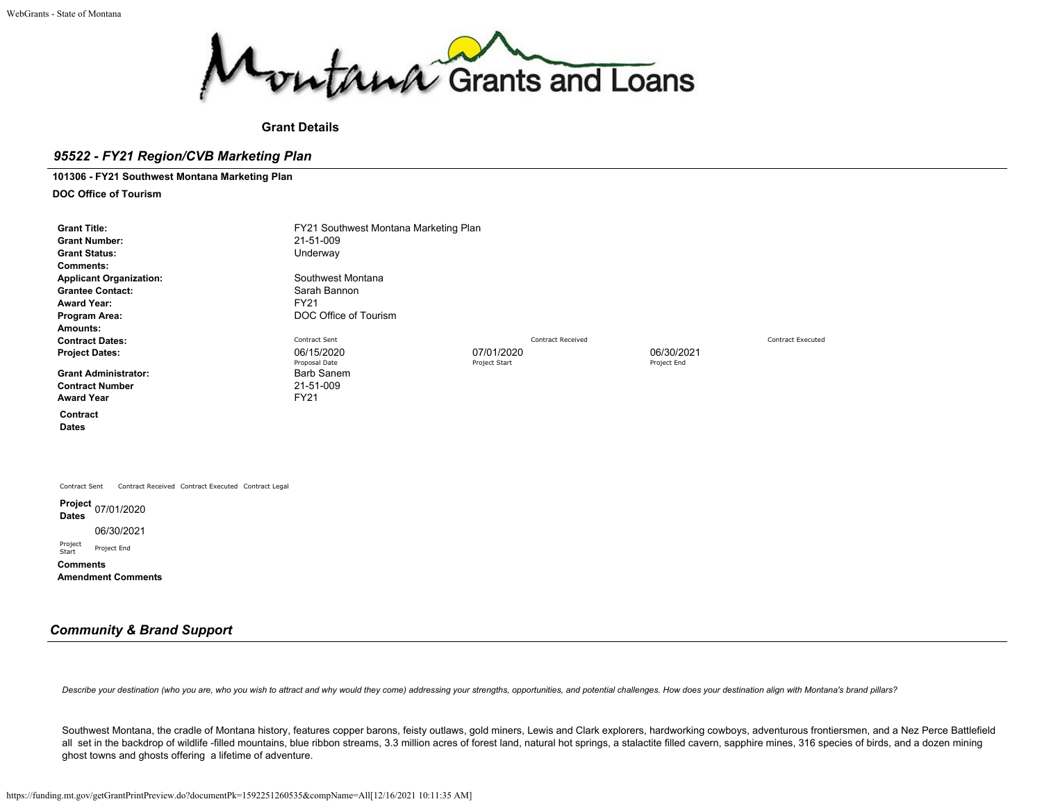

### **Grant Details**

### *95522 - FY21 Region/CVB Marketing Plan*

**101306 - FY21 Southwest Montana Marketing Plan**

**DOC Office of Tourism**

| <b>Grant Title:</b><br><b>Grant Number:</b><br><b>Grant Status:</b><br><b>Comments:</b><br><b>Applicant Organization:</b><br><b>Grantee Contact:</b> | FY21 Southwest Montana Marketing Plan<br>21-51-009<br>Underway<br>Southwest Montana<br>Sarah Bannon |                             |                          |                           |                          |
|------------------------------------------------------------------------------------------------------------------------------------------------------|-----------------------------------------------------------------------------------------------------|-----------------------------|--------------------------|---------------------------|--------------------------|
| <b>Award Year:</b>                                                                                                                                   | <b>FY21</b>                                                                                         |                             |                          |                           |                          |
| Program Area:<br>Amounts:                                                                                                                            | DOC Office of Tourism                                                                               |                             |                          |                           |                          |
| <b>Contract Dates:</b>                                                                                                                               | Contract Sent                                                                                       |                             | <b>Contract Received</b> |                           | <b>Contract Executed</b> |
| <b>Project Dates:</b>                                                                                                                                | 06/15/2020<br>Proposal Date                                                                         | 07/01/2020<br>Project Start |                          | 06/30/2021<br>Project End |                          |
| <b>Grant Administrator:</b>                                                                                                                          | <b>Barb Sanem</b>                                                                                   |                             |                          |                           |                          |
| <b>Contract Number</b>                                                                                                                               | 21-51-009                                                                                           |                             |                          |                           |                          |
| <b>Award Year</b>                                                                                                                                    | <b>FY21</b>                                                                                         |                             |                          |                           |                          |
| Contract<br><b>Dates</b>                                                                                                                             |                                                                                                     |                             |                          |                           |                          |
| Contract Received Contract Executed Contract Legal<br>Contract Sent                                                                                  |                                                                                                     |                             |                          |                           |                          |
| Project 07/01/2020<br><b>Dates</b>                                                                                                                   |                                                                                                     |                             |                          |                           |                          |
| 06/30/2021                                                                                                                                           |                                                                                                     |                             |                          |                           |                          |
| Project<br>Project End<br>Start                                                                                                                      |                                                                                                     |                             |                          |                           |                          |
| <b>Comments</b><br><b>Amendment Comments</b>                                                                                                         |                                                                                                     |                             |                          |                           |                          |

## *Community & Brand Support*

Describe your destination (who you are, who you wish to attract and why would they come) addressing your strengths, opportunities, and potential challenges. How does your destination align with Montana's brand pillars?

Southwest Montana, the cradle of Montana history, features copper barons, feisty outlaws, gold miners, Lewis and Clark explorers, hardworking cowboys, adventurous frontiersmen, and a Nez Perce Battlefield all set in the backdrop of wildlife -filled mountains, blue ribbon streams, 3.3 million acres of forest land, natural hot springs, a stalactite filled cavern, sapphire mines, 316 species of birds, and a dozen mining ghost towns and ghosts offering a lifetime of adventure.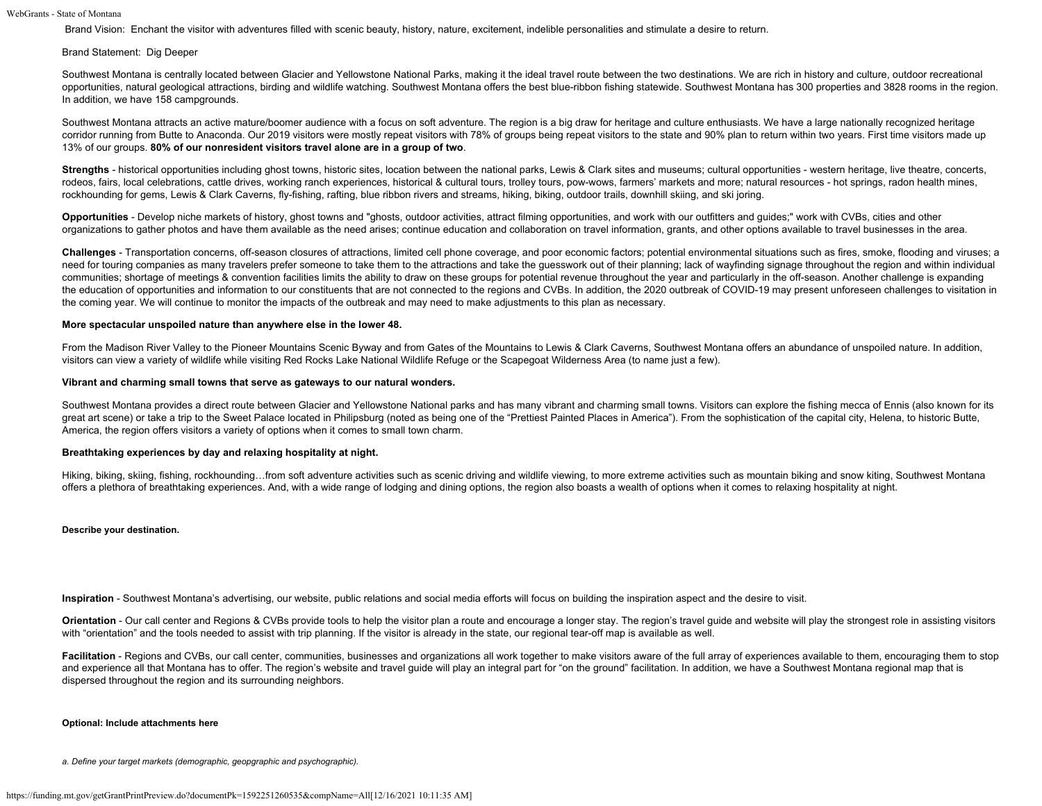Brand Vision: Enchant the visitor with adventures filled with scenic beauty, history, nature, excitement, indelible personalities and stimulate a desire to return.

#### Brand Statement: Dig Deeper

Southwest Montana is centrally located between Glacier and Yellowstone National Parks, making it the ideal travel route between the two destinations. We are rich in history and culture, outdoor recreational opportunities, natural geological attractions, birding and wildlife watching. Southwest Montana offers the best blue-ribbon fishing statewide. Southwest Montana has 300 properties and 3828 rooms in the region. In addition, we have 158 campgrounds.

Southwest Montana attracts an active mature/boomer audience with a focus on soft adventure. The region is a big draw for heritage and culture enthusiasts. We have a large nationally recognized heritage corridor running from Butte to Anaconda. Our 2019 visitors were mostly repeat visitors with 78% of groups being repeat visitors to the state and 90% plan to return within two years. First time visitors made up 13% of our groups. **80% of our nonresident visitors travel alone are in a group of two**.

**Strengths** - historical opportunities including ghost towns, historic sites, location between the national parks, Lewis & Clark sites and museums; cultural opportunities - western heritage, live theatre, concerts, rodeos, fairs, local celebrations, cattle drives, working ranch experiences, historical & cultural tours, trolley tours, pow-wows, farmers' markets and more; natural resources - hot springs, radon health mines, rockhounding for gems, Lewis & Clark Caverns, fly-fishing, rafting, blue ribbon rivers and streams, hiking, biking, outdoor trails, downhill skiing, and ski joring.

**Opportunities** - Develop niche markets of history, ghost towns and "ghosts, outdoor activities, attract filming opportunities, and work with our outfitters and guides;" work with CVBs, cities and other organizations to gather photos and have them available as the need arises; continue education and collaboration on travel information, grants, and other options available to travel businesses in the area.

**Challenges** - Transportation concerns, off-season closures of attractions, limited cell phone coverage, and poor economic factors; potential environmental situations such as fires, smoke, flooding and viruses; a need for touring companies as many travelers prefer someone to take them to the attractions and take the guesswork out of their planning; lack of wayfinding signage throughout the region and within individual communities; shortage of meetings & convention facilities limits the ability to draw on these groups for potential revenue throughout the year and particularly in the off-season. Another challenge is expanding the education of opportunities and information to our constituents that are not connected to the regions and CVBs. In addition, the 2020 outbreak of COVID-19 may present unforeseen challenges to visitation in the coming year. We will continue to monitor the impacts of the outbreak and may need to make adjustments to this plan as necessary.

#### **More spectacular unspoiled nature than anywhere else in the lower 48.**

From the Madison River Valley to the Pioneer Mountains Scenic Byway and from Gates of the Mountains to Lewis & Clark Caverns, Southwest Montana offers an abundance of unspoiled nature. In addition, visitors can view a variety of wildlife while visiting Red Rocks Lake National Wildlife Refuge or the Scapegoat Wilderness Area (to name just a few).

#### **Vibrant and charming small towns that serve as gateways to our natural wonders.**

Southwest Montana provides a direct route between Glacier and Yellowstone National parks and has many vibrant and charming small towns. Visitors can explore the fishing mecca of Ennis (also known for its great art scene) or take a trip to the Sweet Palace located in Philipsburg (noted as being one of the "Prettiest Painted Places in America"). From the sophistication of the capital city, Helena, to historic Butte, America, the region offers visitors a variety of options when it comes to small town charm.

#### **Breathtaking experiences by day and relaxing hospitality at night.**

Hiking, biking, skiing, fishing, rockhounding…from soft adventure activities such as scenic driving and wildlife viewing, to more extreme activities such as mountain biking and snow kiting, Southwest Montana offers a plethora of breathtaking experiences. And, with a wide range of lodging and dining options, the region also boasts a wealth of options when it comes to relaxing hospitality at night.

#### **Describe your destination.**

**Inspiration** - Southwest Montana's advertising, our website, public relations and social media efforts will focus on building the inspiration aspect and the desire to visit.

Orientation - Our call center and Regions & CVBs provide tools to help the visitor plan a route and encourage a longer stay. The region's travel guide and website will play the strongest role in assisting visitors with "orientation" and the tools needed to assist with trip planning. If the visitor is already in the state, our regional tear-off map is available as well.

Facilitation - Regions and CVBs, our call center, communities, businesses and organizations all work together to make visitors aware of the full array of experiences available to them, encouraging them to stop and experience all that Montana has to offer. The region's website and travel guide will play an integral part for "on the ground" facilitation. In addition, we have a Southwest Montana regional map that is dispersed throughout the region and its surrounding neighbors.

#### **Optional: Include attachments here**

*a. Define your target markets (demographic, geopgraphic and psychographic).*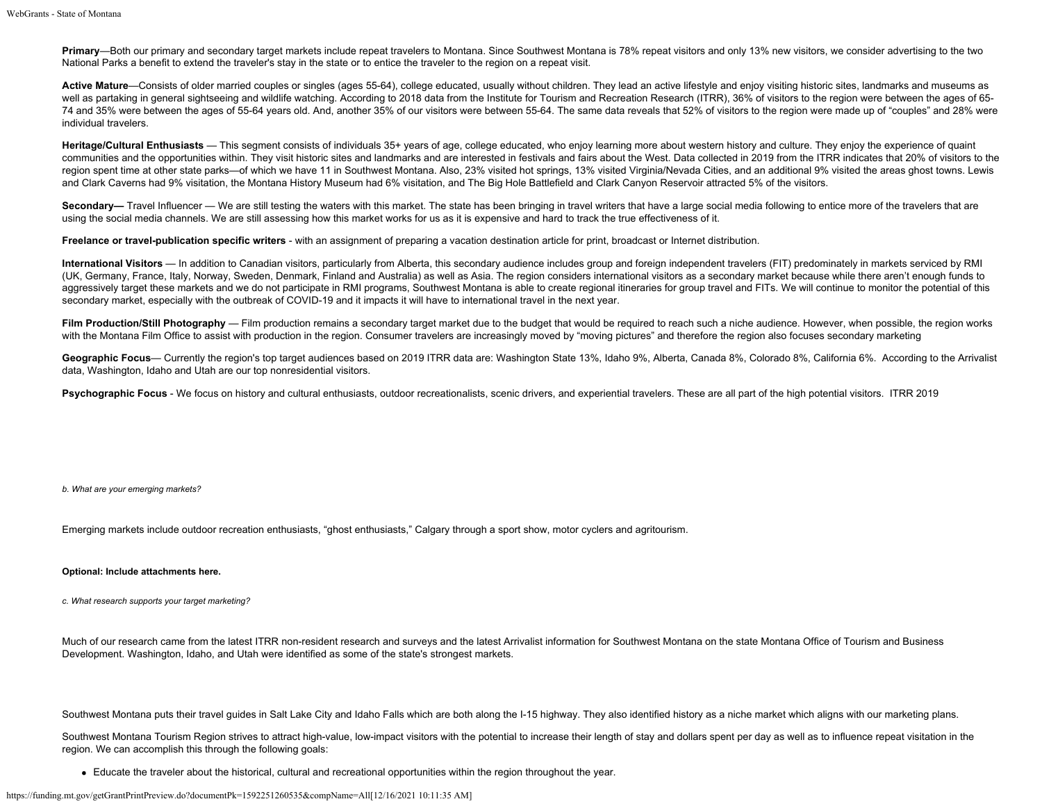**Primary—Both our primary and secondary target markets include repeat travelers to Montana. Since Southwest Montana is 78% repeat visitors and only 13% new visitors, we consider advertising to the two** National Parks a benefit to extend the traveler's stay in the state or to entice the traveler to the region on a repeat visit.

Active Mature—Consists of older married couples or singles (ages 55-64), college educated, usually without children. They lead an active lifestyle and enjoy visiting historic sites, landmarks and museums as well as partaking in general sightseeing and wildlife watching. According to 2018 data from the Institute for Tourism and Recreation Research (ITRR), 36% of visitors to the region were between the ages of 65-74 and 35% were between the ages of 55-64 years old. And, another 35% of our visitors were between 55-64. The same data reveals that 52% of visitors to the region were made up of "couples" and 28% were individual travelers.

Heritage/Cultural Enthusiasts — This segment consists of individuals 35+ years of age, college educated, who enjoy learning more about western history and culture. They enjoy the experience of quaint communities and the opportunities within. They visit historic sites and landmarks and are interested in festivals and fairs about the West. Data collected in 2019 from the ITRR indicates that 20% of visitors to the region spent time at other state parks—of which we have 11 in Southwest Montana. Also, 23% visited hot springs, 13% visited Virginia/Nevada Cities, and an additional 9% visited the areas ghost towns. Lewis and Clark Caverns had 9% visitation, the Montana History Museum had 6% visitation, and The Big Hole Battlefield and Clark Canyon Reservoir attracted 5% of the visitors.

Secondary— Travel Influencer — We are still testing the waters with this market. The state has been bringing in travel writers that have a large social media following to entice more of the travelers that are using the social media channels. We are still assessing how this market works for us as it is expensive and hard to track the true effectiveness of it.

**Freelance or travel-publication specific writers** - with an assignment of preparing a vacation destination article for print, broadcast or Internet distribution.

**International Visitors** — In addition to Canadian visitors, particularly from Alberta, this secondary audience includes group and foreign independent travelers (FIT) predominately in markets serviced by RMI (UK, Germany, France, Italy, Norway, Sweden, Denmark, Finland and Australia) as well as Asia. The region considers international visitors as a secondary market because while there aren't enough funds to aggressively target these markets and we do not participate in RMI programs, Southwest Montana is able to create regional itineraries for group travel and FITs. We will continue to monitor the potential of this secondary market, especially with the outbreak of COVID-19 and it impacts it will have to international travel in the next year.

Film Production/Still Photography — Film production remains a secondary target market due to the budget that would be required to reach such a niche audience. However, when possible, the region works with the Montana Film Office to assist with production in the region. Consumer travelers are increasingly moved by "moving pictures" and therefore the region also focuses secondary marketing

Geographic Focus— Currently the region's top target audiences based on 2019 ITRR data are: Washington State 13%, Idaho 9%, Alberta, Canada 8%, Colorado 8%, California 6%. According to the Arrivalist data, Washington, Idaho and Utah are our top nonresidential visitors.

Psychographic Focus - We focus on history and cultural enthusiasts, outdoor recreationalists, scenic drivers, and experiential travelers. These are all part of the high potential visitors. ITRR 2019

*b. What are your emerging markets?*

Emerging markets include outdoor recreation enthusiasts, "ghost enthusiasts," Calgary through a sport show, motor cyclers and agritourism.

### **Optional: Include attachments here.**

*c. What research supports your target marketing?*

Much of our research came from the latest ITRR non-resident research and surveys and the latest Arrivalist information for Southwest Montana on the state Montana Office of Tourism and Business Development. Washington, Idaho, and Utah were identified as some of the state's strongest markets.

Southwest Montana puts their travel quides in Salt Lake City and Idaho Falls which are both along the I-15 highway. They also identified history as a niche market which aligns with our marketing plans.

Southwest Montana Tourism Region strives to attract high-value, low-impact visitors with the potential to increase their length of stay and dollars spent per day as well as to influence repeat visitation in the region. We can accomplish this through the following goals:

Educate the traveler about the historical, cultural and recreational opportunities within the region throughout the year.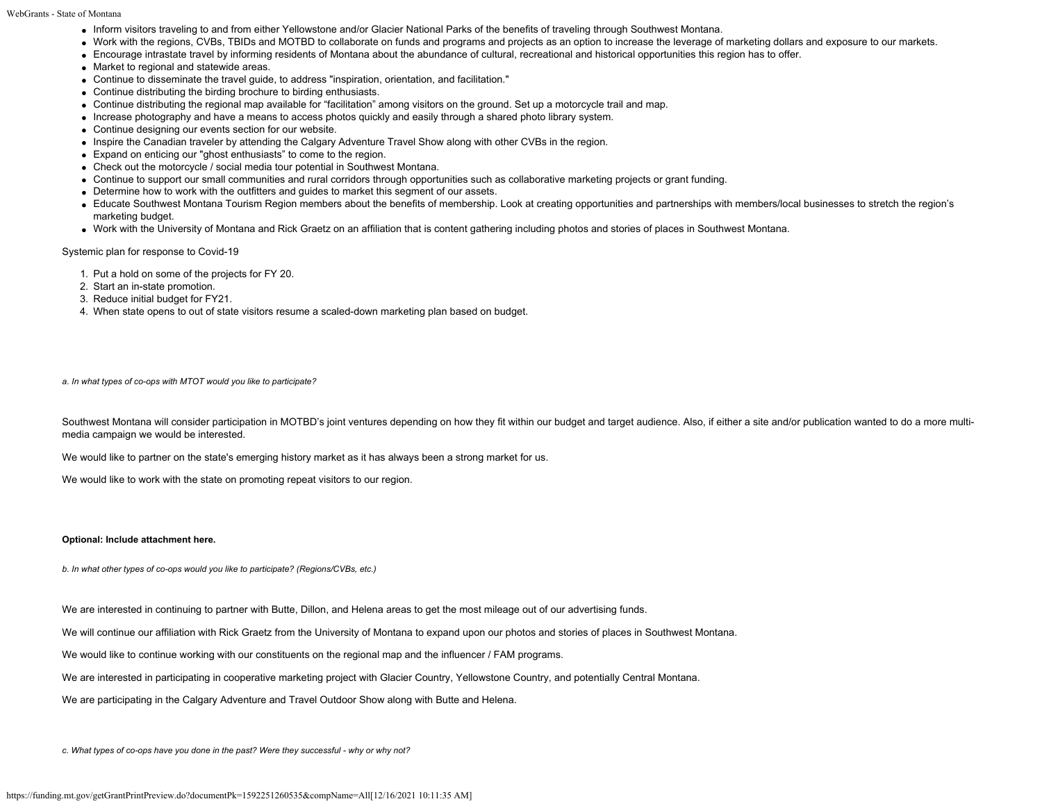- Inform visitors traveling to and from either Yellowstone and/or Glacier National Parks of the benefits of traveling through Southwest Montana.
- Work with the regions, CVBs, TBIDs and MOTBD to collaborate on funds and programs and projects as an option to increase the leverage of marketing dollars and exposure to our markets.
- Encourage intrastate travel by informing residents of Montana about the abundance of cultural, recreational and historical opportunities this region has to offer.
- Market to regional and statewide areas.
- Continue to disseminate the travel guide, to address "inspiration, orientation, and facilitation."
- Continue distributing the birding brochure to birding enthusiasts.
- Continue distributing the regional map available for "facilitation" among visitors on the ground. Set up a motorcycle trail and map.
- Increase photography and have a means to access photos quickly and easily through a shared photo library system.
- Continue designing our events section for our website.
- Inspire the Canadian traveler by attending the Calgary Adventure Travel Show along with other CVBs in the region.
- Expand on enticing our "ghost enthusiasts" to come to the region.
- Check out the motorcycle / social media tour potential in Southwest Montana.
- Continue to support our small communities and rural corridors through opportunities such as collaborative marketing projects or grant funding.
- Determine how to work with the outfitters and guides to market this segment of our assets.
- Educate Southwest Montana Tourism Region members about the benefits of membership. Look at creating opportunities and partnerships with members/local businesses to stretch the region's marketing budget.
- Work with the University of Montana and Rick Graetz on an affiliation that is content gathering including photos and stories of places in Southwest Montana.

Systemic plan for response to Covid-19

- 1. Put a hold on some of the projects for FY 20.
- 2. Start an in-state promotion.
- 3. Reduce initial budget for FY21.
- 4. When state opens to out of state visitors resume a scaled-down marketing plan based on budget.

*a. In what types of co-ops with MTOT would you like to participate?*

Southwest Montana will consider participation in MOTBD's joint ventures depending on how they fit within our budget and target audience. Also, if either a site and/or publication wanted to do a more multimedia campaign we would be interested.

We would like to partner on the state's emerging history market as it has always been a strong market for us.

We would like to work with the state on promoting repeat visitors to our region.

#### **Optional: Include attachment here.**

*b. In what other types of co-ops would you like to participate? (Regions/CVBs, etc.)*

We are interested in continuing to partner with Butte, Dillon, and Helena areas to get the most mileage out of our advertising funds.

We will continue our affiliation with Rick Graetz from the University of Montana to expand upon our photos and stories of places in Southwest Montana.

We would like to continue working with our constituents on the regional map and the influencer / FAM programs.

We are interested in participating in cooperative marketing project with Glacier Country, Yellowstone Country, and potentially Central Montana.

We are participating in the Calgary Adventure and Travel Outdoor Show along with Butte and Helena.

*c. What types of co-ops have you done in the past? Were they successful - why or why not?*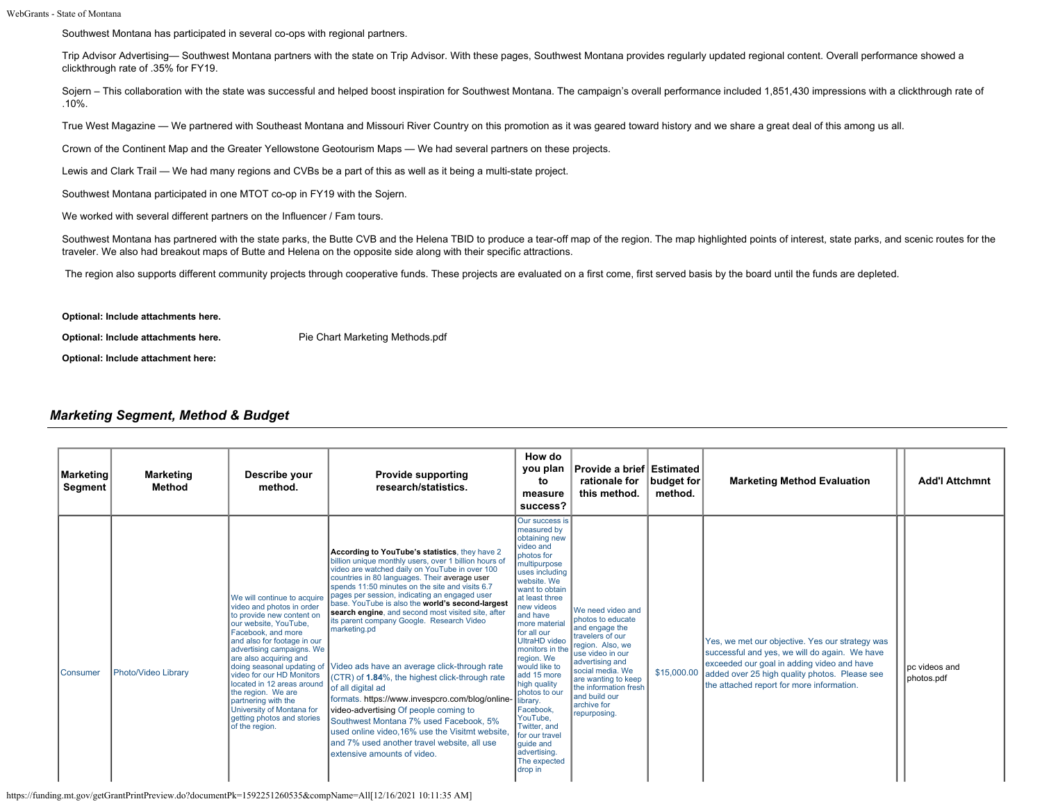Southwest Montana has participated in several co-ops with regional partners.

Trip Advisor Advertising— Southwest Montana partners with the state on Trip Advisor. With these pages, Southwest Montana provides regularly updated regional content. Overall performance showed a clickthrough rate of .35% for FY19.

Sojern – This collaboration with the state was successful and helped boost inspiration for Southwest Montana. The campaign's overall performance included 1,851,430 impressions with a clickthrough rate of .10%.

True West Magazine — We partnered with Southeast Montana and Missouri River Country on this promotion as it was geared toward history and we share a great deal of this among us all.

Crown of the Continent Map and the Greater Yellowstone Geotourism Maps — We had several partners on these projects.

Lewis and Clark Trail — We had many regions and CVBs be a part of this as well as it being a multi-state project.

Southwest Montana participated in one MTOT co-op in FY19 with the Sojern.

We worked with several different partners on the Influencer / Fam tours.

Southwest Montana has partnered with the state parks, the Butte CVB and the Helena TBID to produce a tear-off map of the region. The map highlighted points of interest, state parks, and scenic routes for the traveler. We also had breakout maps of Butte and Helena on the opposite side along with their specific attractions.

The region also supports different community projects through cooperative funds. These projects are evaluated on a first come, first served basis by the board until the funds are depleted.

**Optional: Include attachments here.**

**Optional: Include attachments here.** [Pie Chart Marketing Methods.pdf](https://funding.mt.gov/fileDownload.jsp?filename=1589928380764_Pie+Chart+Marketing+Methods.pdf)

**Optional: Include attachment here:**

# *Marketing Segment, Method & Budget*

| <b>Marketing</b><br>Segment | <b>Marketing</b><br>Method | Describe your<br>method.                                                                                                                                                                                                                                                                                                                                                                                        | <b>Provide supporting</b><br>research/statistics.                                                                                                                                                                                                                                                                                                                                                                                                                                                                                                                                                                                                                                                                                                                                                                                                                                                             | How do<br>you plan<br>to<br>measure<br>success?                                                                                                                                                                                                                                                                                                                                                                                                                                   | Provide a brief Estimated<br>rationale for<br>this method.                                                                                                                                                                                                  | budget for<br>method. | <b>Marketing Method Evaluation</b>                                                                                                                                                                                                           | <b>Add'l Attchmnt</b>         |
|-----------------------------|----------------------------|-----------------------------------------------------------------------------------------------------------------------------------------------------------------------------------------------------------------------------------------------------------------------------------------------------------------------------------------------------------------------------------------------------------------|---------------------------------------------------------------------------------------------------------------------------------------------------------------------------------------------------------------------------------------------------------------------------------------------------------------------------------------------------------------------------------------------------------------------------------------------------------------------------------------------------------------------------------------------------------------------------------------------------------------------------------------------------------------------------------------------------------------------------------------------------------------------------------------------------------------------------------------------------------------------------------------------------------------|-----------------------------------------------------------------------------------------------------------------------------------------------------------------------------------------------------------------------------------------------------------------------------------------------------------------------------------------------------------------------------------------------------------------------------------------------------------------------------------|-------------------------------------------------------------------------------------------------------------------------------------------------------------------------------------------------------------------------------------------------------------|-----------------------|----------------------------------------------------------------------------------------------------------------------------------------------------------------------------------------------------------------------------------------------|-------------------------------|
| <b>Consumer</b>             | Photo/Video Library        | We will continue to acquire<br>video and photos in order<br>to provide new content on<br>our website, YouTube,<br>Facebook, and more<br>and also for footage in our<br>advertising campaigns. We<br>are also acquiring and<br>video for our HD Monitors<br>located in 12 areas around<br>the region. We are<br>partnering with the<br>University of Montana for<br>getting photos and stories<br>of the region. | According to YouTube's statistics, they have 2<br>billion unique monthly users, over 1 billion hours of<br>video are watched daily on YouTube in over 100<br>countries in 80 languages. Their average user<br>spends 11:50 minutes on the site and visits 6.7<br>pages per session, indicating an engaged user<br>base. YouTube is also the world's second-largest<br>search engine, and second most visited site, after<br>its parent company Google. Research Video<br>marketing.pd<br>doing seasonal updating of Video ads have an average click-through rate<br>(CTR) of 1.84%, the highest click-through rate<br>of all digital ad<br>formats. https://www.invespcro.com/blog/online-<br>video-advertising Of people coming to<br>Southwest Montana 7% used Facebook. 5%<br>used online video.16% use the Visitmt website.<br>and 7% used another travel website, all use<br>extensive amounts of video. | Our success is<br>measured by<br>obtaining new<br>video and<br>photos for<br>multipurpose<br>uses including<br>website. We<br>want to obtain<br>at least three<br>new videos<br>and have<br>more material<br>for all our<br><b>UltraHD</b> video<br>monitors in the<br>region. We<br>would like to<br>add 15 more<br>high quality<br>photos to our<br>library.<br>Facebook.<br>YouTube.<br>Twitter, and<br>for our travel<br>quide and<br>advertising.<br>The expected<br>drop in | We need video and<br>photos to educate<br>and engage the<br>travelers of our<br>region. Also, we<br>use video in our<br>advertising and<br>social media. We<br>are wanting to keep<br>the information fresh<br>and build our<br>archive for<br>repurposing. | \$15,000.00           | Yes, we met our objective. Yes our strategy was<br>successful and yes, we will do again. We have<br>exceeded our goal in adding video and have<br>added over 25 high quality photos. Please see<br>the attached report for more information. | l pc videos and<br>photos.pdf |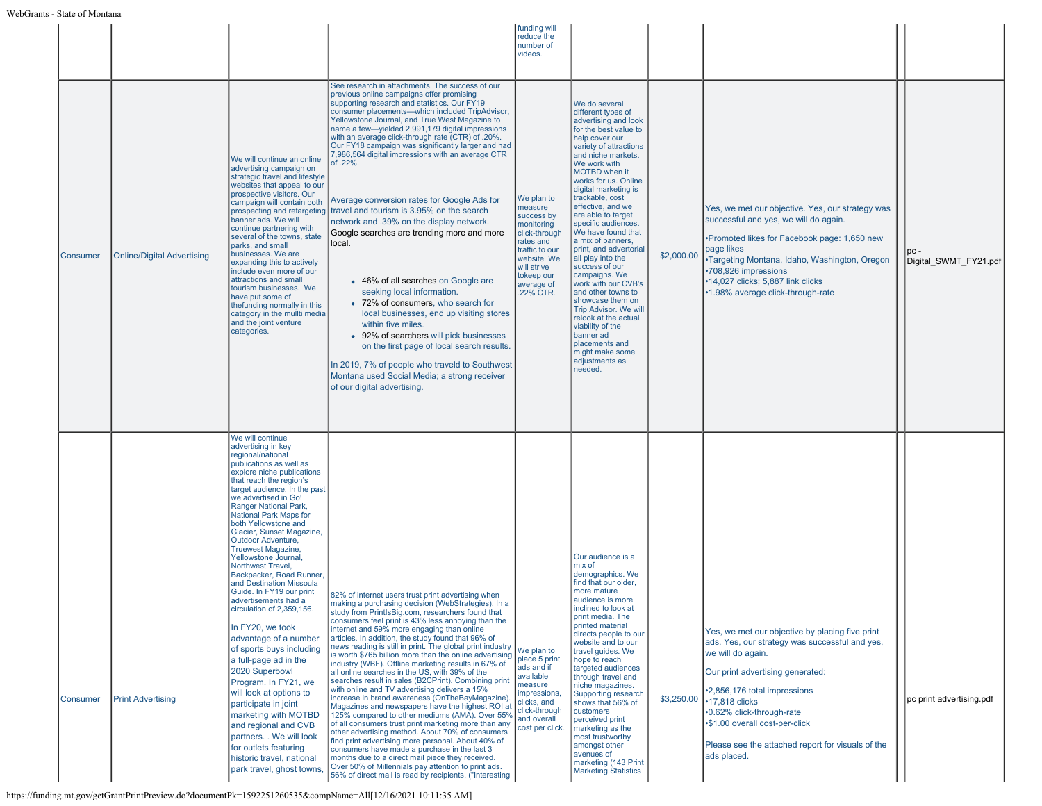|                 |                                   |                                                                                                                                                                                                                                                                                                                                                                                                                                                                                                                                                                                                                                                                                                                                                                                                                                                                                                                       |                                                                                                                                                                                                                                                                                                                                                                                                                                                                                                                                                                                                                                                                                                                                                                                                                                                                                                                                                                                                                                                                                                                                                                                                                    | funding will<br>reduce the<br>number of<br>videos.                                                                                                                       |                                                                                                                                                                                                                                                                                                                                                                                                                                                                                                                                                                                                                                                                                       |            |                                                                                                                                                                                                                                                                                                                                                       |                          |
|-----------------|-----------------------------------|-----------------------------------------------------------------------------------------------------------------------------------------------------------------------------------------------------------------------------------------------------------------------------------------------------------------------------------------------------------------------------------------------------------------------------------------------------------------------------------------------------------------------------------------------------------------------------------------------------------------------------------------------------------------------------------------------------------------------------------------------------------------------------------------------------------------------------------------------------------------------------------------------------------------------|--------------------------------------------------------------------------------------------------------------------------------------------------------------------------------------------------------------------------------------------------------------------------------------------------------------------------------------------------------------------------------------------------------------------------------------------------------------------------------------------------------------------------------------------------------------------------------------------------------------------------------------------------------------------------------------------------------------------------------------------------------------------------------------------------------------------------------------------------------------------------------------------------------------------------------------------------------------------------------------------------------------------------------------------------------------------------------------------------------------------------------------------------------------------------------------------------------------------|--------------------------------------------------------------------------------------------------------------------------------------------------------------------------|---------------------------------------------------------------------------------------------------------------------------------------------------------------------------------------------------------------------------------------------------------------------------------------------------------------------------------------------------------------------------------------------------------------------------------------------------------------------------------------------------------------------------------------------------------------------------------------------------------------------------------------------------------------------------------------|------------|-------------------------------------------------------------------------------------------------------------------------------------------------------------------------------------------------------------------------------------------------------------------------------------------------------------------------------------------------------|--------------------------|
| <b>Consumer</b> | <b>Online/Digital Advertising</b> | We will continue an online<br>advertising campaign on<br>strategic travel and lifestyle<br>websites that appeal to our<br>prospective visitors. Our<br>campaign will contain both<br>banner ads. We will<br>continue partnering with<br>several of the towns, state<br>parks, and small<br>businesses. We are<br>expanding this to actively<br>include even more of our<br>attractions and small<br>tourism businesses. We<br>have put some of<br>thefunding normally in this<br>category in the mullti media<br>and the joint venture<br>categories.                                                                                                                                                                                                                                                                                                                                                                 | See research in attachments. The success of our<br>previous online campaigns offer promising<br>supporting research and statistics. Our FY19<br>consumer placements-which included TripAdvisor,<br>Yellowstone Journal, and True West Magazine to<br>name a few-yielded 2,991,179 digital impressions<br>with an average click-through rate (CTR) of .20%.<br>Our FY18 campaign was significantly larger and had<br>7,986,564 digital impressions with an average CTR<br>of .22%.<br>Average conversion rates for Google Ads for<br>prospecting and retargeting travel and tourism is 3.95% on the search<br>network and .39% on the display network.<br>Google searches are trending more and more<br>local.<br>• 46% of all searches on Google are<br>seeking local information.<br>• 72% of consumers, who search for<br>local businesses, end up visiting stores<br>within five miles.<br>• 92% of searchers will pick businesses<br>on the first page of local search results.<br>In 2019, 7% of people who traveld to Southwest<br>Montana used Social Media; a strong receiver<br>of our digital advertising.                                                                                               | We plan to<br>measure<br>success by<br>monitoring<br>click-through<br>rates and<br>traffic to our<br>website. We<br>will strive<br>tokeep our<br>average of<br>.22% CTR. | We do several<br>different types of<br>advertising and look<br>for the best value to<br>help cover our<br>variety of attractions<br>and niche markets.<br>We work with<br>MOTBD when it<br>works for us. Online<br>digital marketing is<br>trackable, cost<br>effective, and we<br>are able to target<br>specific audiences.<br>We have found that<br>a mix of banners,<br>print, and advertorial<br>all play into the<br>success of our<br>campaigns. We<br>work with our CVB's<br>and other towns to<br>showcase them on<br><b>Trip Advisor. We will</b><br>relook at the actual<br>viability of the<br>banner ad<br>placements and<br>might make some<br>adjustments as<br>needed. | \$2,000.00 | Yes, we met our objective. Yes, our strategy was<br>successful and yes, we will do again.<br>•Promoted likes for Facebook page: 1,650 new<br>page likes<br>•Targeting Montana, Idaho, Washington, Oregon<br>•708,926 impressions<br>•14,027 clicks; 5,887 link clicks<br>•1.98% average click-through-rate                                            | Digital SWMT FY21.pdf    |
| <b>Consumer</b> | <b>Print Advertising</b>          | We will continue<br>advertising in key<br>regional/national<br>publications as well as<br>explore niche publications<br>that reach the region's<br>target audience. In the past<br>we advertised in Go!<br>Ranger National Park,<br>National Park Maps for<br>both Yellowstone and<br>Glacier, Sunset Magazine.<br>Outdoor Adventure,<br><b>Truewest Magazine,</b><br>Yellowstone Journal,<br>Northwest Travel,<br>Backpacker, Road Runner,<br>and Destination Missoula<br>Guide. In FY19 our print<br>advertisements had a<br>circulation of 2,359,156<br>In FY20, we took<br>advantage of a number<br>of sports buys including<br>a full-page ad in the<br>2020 Superbowl<br>Program. In FY21, we<br>will look at options to<br>participate in joint<br>marketing with MOTBD<br>and regional and CVB<br>partners. . We will look<br>for outlets featuring<br>historic travel, national<br>park travel, ghost towns, | 82% of internet users trust print advertising when<br>making a purchasing decision (WebStrategies). In a<br>study from PrintlsBig.com, researchers found that<br>consumers feel print is 43% less annoying than the<br>internet and 59% more engaging than online<br>articles. In addition, the study found that 96% of<br>news reading is still in print. The global print industry<br>is worth \$765 billion more than the online advertising<br>industry (WBF). Offline marketing results in 67% of<br>all online searches in the US, with 39% of the<br>searches result in sales (B2CPrint). Combining print<br>with online and TV advertising delivers a 15%<br>increase in brand awareness (OnTheBayMagazine).<br>Magazines and newspapers have the highest ROI at<br>125% compared to other mediums (AMA). Over 55%<br>of all consumers trust print marketing more than any<br>other advertising method. About 70% of consumers<br>find print advertising more personal. About 40% of<br>consumers have made a purchase in the last 3<br>months due to a direct mail piece they received.<br>Over 50% of Millennials pay attention to print ads.<br>56% of direct mail is read by recipients. ("Interesting | We plan to<br>place 5 print<br>ads and if<br>available<br>measure<br>impressions,<br>clicks, and<br>click-through<br>and overall<br>cost per click.                      | Our audience is a<br>mix of<br>demographics. We<br>find that our older,<br>more mature<br>audience is more<br>inclined to look at<br>print media. The<br>printed material<br>directs people to our<br>website and to our<br>travel guides. We<br>hope to reach<br>targeted audiences<br>through travel and<br>niche magazines.<br>Supporting research<br>shows that 56% of<br>customers<br>perceived print<br>marketing as the<br>nost trustworthy<br>amongst other<br>avenues of<br>marketing (143 Print<br><b>Marketing Statistics</b>                                                                                                                                              | \$3,250.00 | Yes, we met our objective by placing five print<br>ads. Yes, our strategy was successful and yes,<br>we will do again.<br>Our print advertising generated:<br>2,856,176 total impressions<br>$\cdot$ 17,818 clicks<br>•0.62% click-through-rate<br>•\$1.00 overall cost-per-click<br>Please see the attached report for visuals of the<br>ads placed. | pc print advertising.pdf |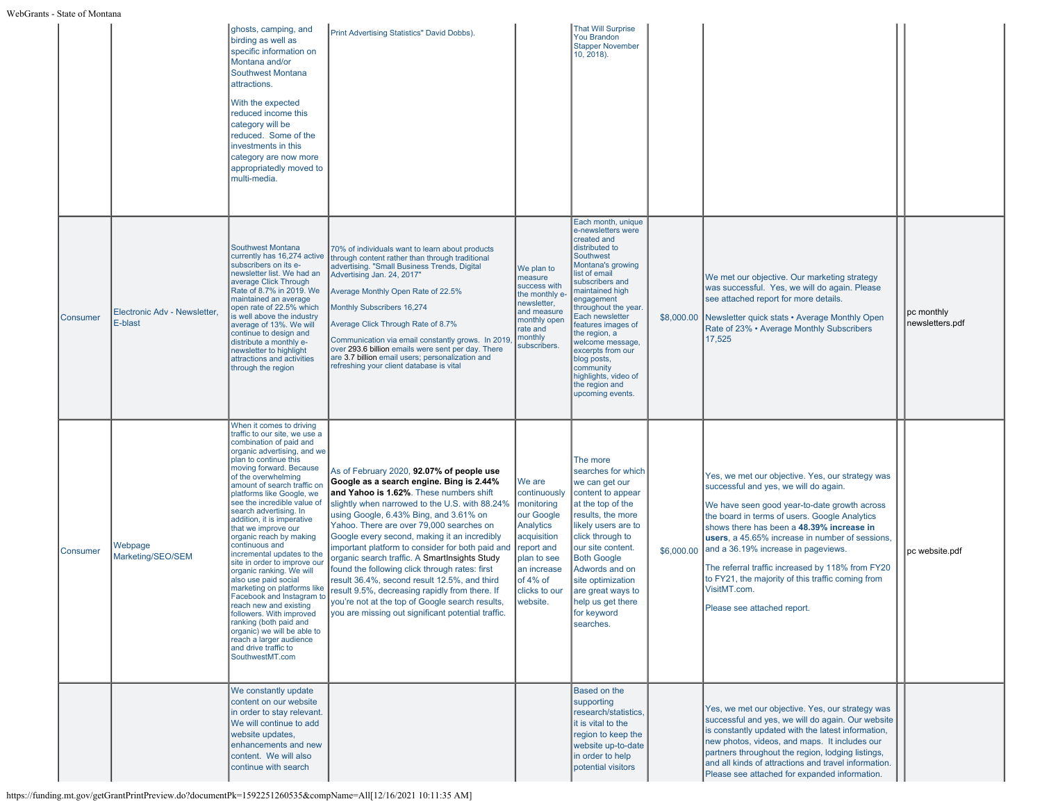|                 |                                         | ghosts, camping, and<br>birding as well as<br>specific information on<br>Montana and/or<br>Southwest Montana<br>attractions.<br>With the expected<br>reduced income this<br>category will be<br>reduced. Some of the<br>investments in this<br>category are now more<br>appropriatedly moved to<br>multi-media.                                                                                                                                                                                                                                                                                                                                                                                                                                                                          | Print Advertising Statistics" David Dobbs).                                                                                                                                                                                                                                                                                                                                                                                                                                                                                                                                                                                                                                                |                                                                                                                                                                     | <b>That Will Surprise</b><br><b>You Brandon</b><br><b>Stapper November</b><br>10, 2018).                                                                                                                                                                                                                                                                                                              |            |                                                                                                                                                                                                                                                                                                                                                                                                                                                                                           |                               |
|-----------------|-----------------------------------------|------------------------------------------------------------------------------------------------------------------------------------------------------------------------------------------------------------------------------------------------------------------------------------------------------------------------------------------------------------------------------------------------------------------------------------------------------------------------------------------------------------------------------------------------------------------------------------------------------------------------------------------------------------------------------------------------------------------------------------------------------------------------------------------|--------------------------------------------------------------------------------------------------------------------------------------------------------------------------------------------------------------------------------------------------------------------------------------------------------------------------------------------------------------------------------------------------------------------------------------------------------------------------------------------------------------------------------------------------------------------------------------------------------------------------------------------------------------------------------------------|---------------------------------------------------------------------------------------------------------------------------------------------------------------------|-------------------------------------------------------------------------------------------------------------------------------------------------------------------------------------------------------------------------------------------------------------------------------------------------------------------------------------------------------------------------------------------------------|------------|-------------------------------------------------------------------------------------------------------------------------------------------------------------------------------------------------------------------------------------------------------------------------------------------------------------------------------------------------------------------------------------------------------------------------------------------------------------------------------------------|-------------------------------|
| Consumer        | Electronic Adv - Newsletter,<br>E-blast | <b>Southwest Montana</b><br>currently has 16,274 active<br>subscribers on its e-<br>newsletter list. We had an<br>average Click Through<br>Rate of 8.7% in 2019. We<br>maintained an average<br>open rate of 22.5% which<br>is well above the industry<br>average of 13%. We will<br>continue to design and<br>distribute a monthly e-<br>newsletter to highlight<br>attractions and activities<br>through the region                                                                                                                                                                                                                                                                                                                                                                    | 70% of individuals want to learn about products<br>through content rather than through traditional<br>advertising. "Small Business Trends, Digital<br>Advertising Jan. 24, 2017"<br>Average Monthly Open Rate of 22.5%<br>Monthly Subscribers 16,274<br>Average Click Through Rate of 8.7%<br>Communication via email constantly grows. In 2019<br>over 293.6 billion emails were sent per day. There<br>are 3.7 billion email users; personalization and<br>refreshing your client database is vital                                                                                                                                                                                      | We plan to<br>measure<br>success with<br>the monthly e<br>newsletter,<br>and measure<br>monthly open<br>rate and<br>monthly<br>subscribers.                         | Each month, unique<br>e-newsletters were<br>created and<br>distributed to<br>Southwest<br>Montana's growing<br>list of email<br>subscribers and<br>maintained high<br>engagement<br>throughout the year.<br>Each newsletter<br>features images of<br>the region, a<br>welcome message,<br>excerpts from our<br>blog posts,<br>community<br>highlights, video of<br>the region and<br>upcoming events. |            | We met our objective. Our marketing strategy<br>was successful. Yes, we will do again. Please<br>see attached report for more details.<br>\$8,000.00 Newsletter quick stats • Average Monthly Open<br>Rate of 23% • Average Monthly Subscribers<br>17,525                                                                                                                                                                                                                                 | pc monthly<br>newsletters.pdf |
| <b>Consumer</b> | Webpage<br>Marketing/SEO/SEM            | When it comes to driving<br>traffic to our site, we use a<br>combination of paid and<br>organic advertising, and we<br>plan to continue this<br>moving forward. Because<br>of the overwhelming<br>amount of search traffic or<br>platforms like Google, we<br>see the incredible value of<br>search advertising. In<br>addition, it is imperative<br>that we improve our<br>organic reach by making<br>continuous and<br>incremental updates to the<br>site in order to improve our<br>organic ranking. We will<br>also use paid social<br>marketing on platforms like<br>Facebook and Instagram to<br>reach new and existing<br>followers. With improved<br>ranking (both paid and<br>organic) we will be able to<br>reach a larger audience<br>and drive traffic to<br>SouthwestMT.com | As of February 2020, 92.07% of people use<br>Google as a search engine. Bing is 2.44%<br>and Yahoo is 1.62%. These numbers shift<br>slightly when narrowed to the U.S. with 88.24%<br>using Google, 6.43% Bing, and 3.61% on<br>Yahoo. There are over 79,000 searches on<br>Google every second, making it an incredibly<br>important platform to consider for both paid and<br>organic search traffic. A SmartInsights Study<br>found the following click through rates: first<br>result 36.4%, second result 12.5%, and third<br>result 9.5%, decreasing rapidly from there. If<br>you're not at the top of Google search results,<br>you are missing out significant potential traffic. | We are<br>continuously<br>monitoring<br>our Google<br>Analytics<br>acquisition<br>report and<br>plan to see<br>an increase<br>of 4% of<br>clicks to our<br>website. | The more<br>searches for which<br>we can get our<br>content to appear<br>at the top of the<br>results, the more<br>likely users are to<br>click through to<br>our site content.<br><b>Both Google</b><br>Adwords and on<br>site optimization<br>are great ways to<br>help us get there<br>for keyword<br>searches.                                                                                    | \$6,000.00 | Yes, we met our objective. Yes, our strategy was<br>successful and yes, we will do again.<br>We have seen good year-to-date growth across<br>the board in terms of users. Google Analytics<br>shows there has been a 48.39% increase in<br>users, a 45.65% increase in number of sessions,<br>and a 36.19% increase in pageviews.<br>The referral traffic increased by 118% from FY20<br>to FY21, the majority of this traffic coming from<br>VisitMT.com.<br>Please see attached report. | pc website.pdf                |
|                 |                                         | We constantly update<br>content on our website<br>in order to stay relevant.<br>We will continue to add<br>website updates,<br>enhancements and new<br>content. We will also<br>continue with search                                                                                                                                                                                                                                                                                                                                                                                                                                                                                                                                                                                     |                                                                                                                                                                                                                                                                                                                                                                                                                                                                                                                                                                                                                                                                                            |                                                                                                                                                                     | Based on the<br>supporting<br>research/statistics.<br>it is vital to the<br>region to keep the<br>website up-to-date<br>in order to help<br>potential visitors                                                                                                                                                                                                                                        |            | Yes, we met our objective. Yes, our strategy was<br>successful and yes, we will do again. Our website<br>is constantly updated with the latest information,<br>new photos, videos, and maps. It includes our<br>partners throughout the region, lodging listings,<br>and all kinds of attractions and travel information.<br>Please see attached for expanded information.                                                                                                                |                               |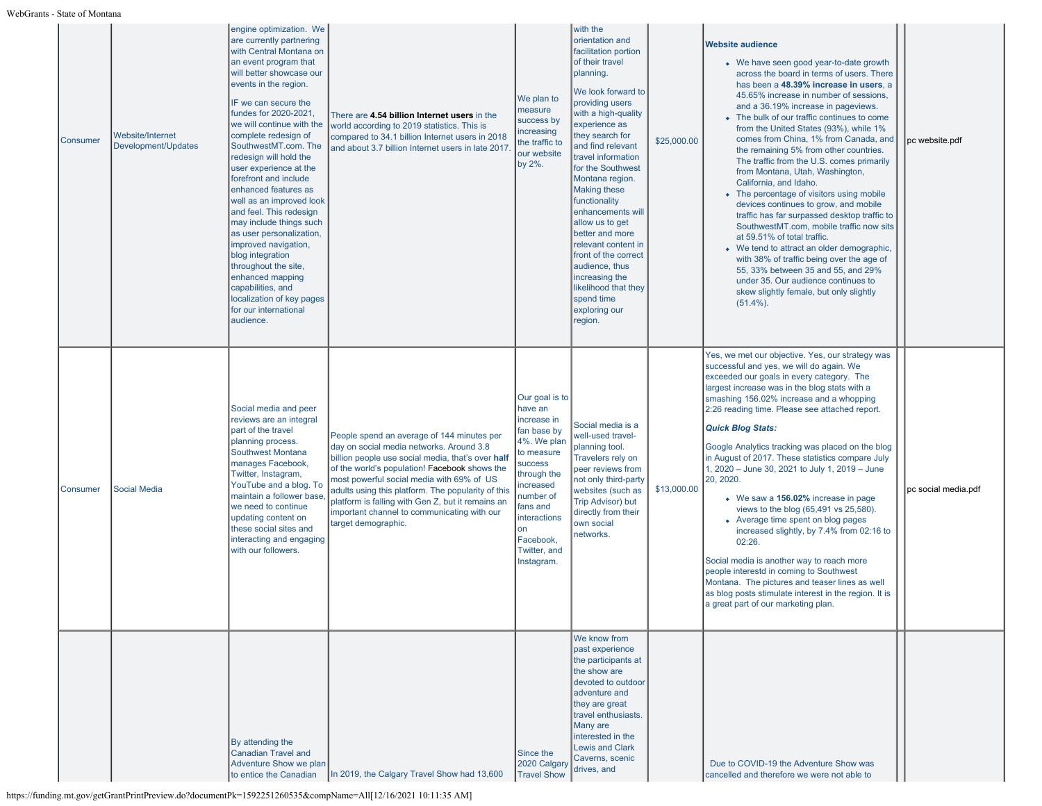| <b>Consumer</b> | <b>Website/Internet</b><br>Development/Updates | engine optimization. We<br>are currently partnering<br>with Central Montana on<br>an event program that<br>will better showcase our<br>events in the region.<br>IF we can secure the<br>fundes for 2020-2021,<br>we will continue with the<br>complete redesign of<br>SouthwestMT.com. The<br>redesign will hold the<br>user experience at the<br>forefront and include<br>enhanced features as<br>well as an improved look<br>and feel. This redesign<br>may include things such<br>as user personalization,<br>improved navigation,<br>blog integration<br>throughout the site,<br>enhanced mapping<br>capabilities, and<br>localization of key pages<br>for our international<br>audience. | There are 4.54 billion Internet users in the<br>world according to 2019 statistics. This is<br>compared to 34.1 billion Internet users in 2018<br>and about 3.7 billion Internet users in late 2017.                                                                                                                                                                                                                       | We plan to<br>measure<br>success by<br>ncreasing<br>the traffic to<br>our website<br>by 2%.                                                                                                                                  | with the<br>orientation and<br>facilitation portion<br>of their travel<br>planning.<br>We look forward to<br>providing users<br>with a high-quality<br>experience as<br>they search for<br>and find relevant<br>travel information<br>for the Southwest<br>Montana region.<br><b>Making these</b><br>functionality<br>enhancements will<br>allow us to get<br>better and more<br>relevant content in<br>front of the correct<br>audience, thus<br>increasing the<br>likelihood that they<br>spend time<br>exploring our<br>region. | \$25,000.00 | <b>Website audience</b><br>• We have seen good year-to-date growth<br>across the board in terms of users. There<br>has been a 48.39% increase in users, a<br>45.65% increase in number of sessions,<br>and a 36.19% increase in pageviews.<br>• The bulk of our traffic continues to come<br>from the United States (93%), while 1%<br>comes from China, 1% from Canada, and<br>the remaining 5% from other countries.<br>The traffic from the U.S. comes primarily<br>from Montana, Utah, Washington,<br>California, and Idaho.<br>• The percentage of visitors using mobile<br>devices continues to grow, and mobile<br>traffic has far surpassed desktop traffic to<br>SouthwestMT.com, mobile traffic now sits<br>at 59.51% of total traffic.<br>• We tend to attract an older demographic,<br>with 38% of traffic being over the age of<br>55, 33% between 35 and 55, and 29%<br>under 35. Our audience continues to<br>skew slightly female, but only slightly<br>$(51.4\%)$ . | pc website.pdf      |
|-----------------|------------------------------------------------|-----------------------------------------------------------------------------------------------------------------------------------------------------------------------------------------------------------------------------------------------------------------------------------------------------------------------------------------------------------------------------------------------------------------------------------------------------------------------------------------------------------------------------------------------------------------------------------------------------------------------------------------------------------------------------------------------|----------------------------------------------------------------------------------------------------------------------------------------------------------------------------------------------------------------------------------------------------------------------------------------------------------------------------------------------------------------------------------------------------------------------------|------------------------------------------------------------------------------------------------------------------------------------------------------------------------------------------------------------------------------|------------------------------------------------------------------------------------------------------------------------------------------------------------------------------------------------------------------------------------------------------------------------------------------------------------------------------------------------------------------------------------------------------------------------------------------------------------------------------------------------------------------------------------|-------------|--------------------------------------------------------------------------------------------------------------------------------------------------------------------------------------------------------------------------------------------------------------------------------------------------------------------------------------------------------------------------------------------------------------------------------------------------------------------------------------------------------------------------------------------------------------------------------------------------------------------------------------------------------------------------------------------------------------------------------------------------------------------------------------------------------------------------------------------------------------------------------------------------------------------------------------------------------------------------------------|---------------------|
| <b>Consumer</b> | <b>Social Media</b>                            | Social media and peer<br>reviews are an integral<br>part of the travel<br>planning process.<br>Southwest Montana<br>manages Facebook,<br>Twitter, Instagram,<br>YouTube and a blog. To<br>maintain a follower base<br>we need to continue<br>updating content on<br>these social sites and<br>interacting and engaging<br>with our followers.                                                                                                                                                                                                                                                                                                                                                 | People spend an average of 144 minutes per<br>day on social media networks. Around 3.8<br>billion people use social media, that's over half<br>of the world's population! Facebook shows the<br>most powerful social media with 69% of US<br>adults using this platform. The popularity of this<br>platform is falling with Gen Z, but it remains an<br>important channel to communicating with our<br>target demographic. | Our goal is to<br>have an<br>increase in<br>fan base by<br>4%. We plan<br>to measure<br>success<br>through the<br>increased<br>number of<br>fans and<br><b>interactions</b><br>on<br>Facebook,<br>Twitter, and<br>Instagram. | Social media is a<br>well-used travel-<br>planning tool.<br>Travelers rely on<br>peer reviews from<br>not only third-party<br>websites (such as<br><b>Trip Advisor) but</b><br>directly from their<br>own social<br>networks.                                                                                                                                                                                                                                                                                                      | \$13,000.00 | Yes, we met our objective. Yes, our strategy was<br>successful and yes, we will do again. We<br>exceeded our goals in every category. The<br>largest increase was in the blog stats with a<br>smashing 156.02% increase and a whopping<br>2:26 reading time. Please see attached report.<br><b>Quick Blog Stats:</b><br>Google Analytics tracking was placed on the blog<br>in August of 2017. These statistics compare July<br>1, 2020 - June 30, 2021 to July 1, 2019 - June<br>20, 2020.<br>• We saw a 156.02% increase in page<br>views to the blog (65,491 vs 25,580).<br>• Average time spent on blog pages<br>increased slightly, by 7.4% from 02:16 to<br>02:26.<br>Social media is another way to reach more<br>people interestd in coming to Southwest<br>Montana. The pictures and teaser lines as well<br>as blog posts stimulate interest in the region. It is<br>a great part of our marketing plan.                                                                   | pc social media.pdf |
|                 |                                                | By attending the<br><b>Canadian Travel and</b><br>Adventure Show we plan<br>to entice the Canadian                                                                                                                                                                                                                                                                                                                                                                                                                                                                                                                                                                                            | In 2019, the Calgary Travel Show had 13,600                                                                                                                                                                                                                                                                                                                                                                                | Since the<br>2020 Calgary<br><b>Travel Show</b>                                                                                                                                                                              | We know from<br>past experience<br>the participants at<br>the show are<br>devoted to outdoor<br>adventure and<br>they are great<br>travel enthusiasts.<br>Many are<br>interested in the<br><b>Lewis and Clark</b><br>Caverns, scenic<br>drives, and                                                                                                                                                                                                                                                                                |             | Due to COVID-19 the Adventure Show was<br>cancelled and therefore we were not able to                                                                                                                                                                                                                                                                                                                                                                                                                                                                                                                                                                                                                                                                                                                                                                                                                                                                                                |                     |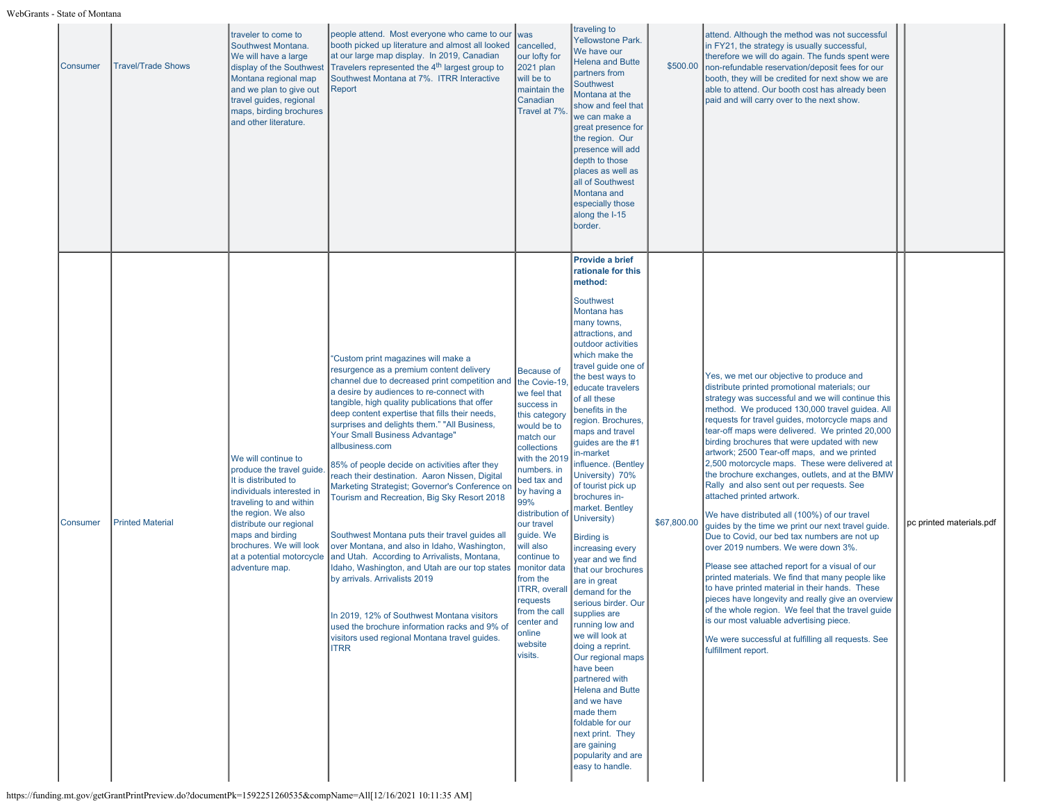| Consumer | <b>Travel/Trade Shows</b> | traveler to come to<br>Southwest Montana.<br>We will have a large<br>display of the Southwest<br>Montana regional map<br>and we plan to give out<br>travel guides, regional<br>maps, birding brochures<br>and other literature.                                                 | people attend. Most everyone who came to our<br>booth picked up literature and almost all looked<br>at our large map display. In 2019, Canadian<br>Travelers represented the 4 <sup>th</sup> largest group to<br>Southwest Montana at 7%. ITRR Interactive<br>Report                                                                                                                                                                                                                                                                                                                                                                                                                                                                                                                                                                                                                                                                                                                           | was<br>cancelled,<br>our lofty for<br>2021 plan<br>will be to<br>maintain the<br>Canadian<br>Travel at 7%                                                                                                                                                                                                                                                                                                 | traveling to<br><b>Yellowstone Park.</b><br>We have our<br><b>Helena and Butte</b><br>partners from<br><b>Southwest</b><br>Montana at the<br>show and feel that<br>we can make a<br>great presence for<br>the region. Our<br>presence will add<br>depth to those<br>places as well as<br>all of Southwest<br>Montana and<br>especially those<br>along the I-15<br>border.                                                                                                                                                                                                                                                                                                                                                                                                                                                                                                                | \$500.00    | attend. Although the method was not successful<br>in FY21, the strategy is usually successful,<br>therefore we will do again. The funds spent were<br>non-refundable reservation/deposit fees for our<br>booth, they will be credited for next show we are<br>able to attend. Our booth cost has already been<br>paid and will carry over to the next show.                                                                                                                                                                                                                                                                                                                                                                                                                                                                                                                                                                                                                                                                                                                                                                                                                  |                          |
|----------|---------------------------|---------------------------------------------------------------------------------------------------------------------------------------------------------------------------------------------------------------------------------------------------------------------------------|------------------------------------------------------------------------------------------------------------------------------------------------------------------------------------------------------------------------------------------------------------------------------------------------------------------------------------------------------------------------------------------------------------------------------------------------------------------------------------------------------------------------------------------------------------------------------------------------------------------------------------------------------------------------------------------------------------------------------------------------------------------------------------------------------------------------------------------------------------------------------------------------------------------------------------------------------------------------------------------------|-----------------------------------------------------------------------------------------------------------------------------------------------------------------------------------------------------------------------------------------------------------------------------------------------------------------------------------------------------------------------------------------------------------|------------------------------------------------------------------------------------------------------------------------------------------------------------------------------------------------------------------------------------------------------------------------------------------------------------------------------------------------------------------------------------------------------------------------------------------------------------------------------------------------------------------------------------------------------------------------------------------------------------------------------------------------------------------------------------------------------------------------------------------------------------------------------------------------------------------------------------------------------------------------------------------|-------------|------------------------------------------------------------------------------------------------------------------------------------------------------------------------------------------------------------------------------------------------------------------------------------------------------------------------------------------------------------------------------------------------------------------------------------------------------------------------------------------------------------------------------------------------------------------------------------------------------------------------------------------------------------------------------------------------------------------------------------------------------------------------------------------------------------------------------------------------------------------------------------------------------------------------------------------------------------------------------------------------------------------------------------------------------------------------------------------------------------------------------------------------------------------------------|--------------------------|
| Consumer | <b>Printed Material</b>   | We will continue to<br>produce the travel guide<br>It is distributed to<br>individuals interested in<br>traveling to and within<br>the region. We also<br>distribute our regional<br>maps and birding<br>brochures. We will look<br>at a potential motorcycle<br>adventure map. | "Custom print magazines will make a<br>resurgence as a premium content delivery<br>channel due to decreased print competition and<br>a desire by audiences to re-connect with<br>tangible, high quality publications that offer<br>deep content expertise that fills their needs,<br>surprises and delights them." "All Business,<br>Your Small Business Advantage"<br>allbusiness.com<br>85% of people decide on activities after they<br>reach their destination. Aaron Nissen, Digital<br>Marketing Strategist; Governor's Conference on<br>Tourism and Recreation, Big Sky Resort 2018<br>Southwest Montana puts their travel guides all<br>over Montana, and also in Idaho, Washington,<br>and Utah. According to Arrivalists, Montana,<br>Idaho, Washington, and Utah are our top states<br>by arrivals. Arrivalists 2019<br>In 2019, 12% of Southwest Montana visitors<br>used the brochure information racks and 9% of<br>visitors used regional Montana travel guides.<br><b>ITRR</b> | <b>Because of</b><br>the Covie-19<br>we feel that<br>success in<br>this category<br>would be to<br>match our<br>collections<br>with the 2019<br>numbers. in<br>bed tax and<br>by having a<br>99%<br>distribution of<br>our travel<br>guide. We<br>will also<br>continue to<br>monitor data<br>from the<br><b>ITRR, overall</b><br>requests<br>from the call<br>center and<br>online<br>website<br>visits. | Provide a brief<br>rationale for this<br>method:<br>Southwest<br>Montana has<br>many towns,<br>attractions, and<br>outdoor activities<br>which make the<br>travel guide one of<br>the best ways to<br>educate travelers<br>of all these<br>benefits in the<br>region. Brochures,<br>maps and travel<br>guides are the #1<br>in-market<br>nfluence. (Bentley<br>University) 70%<br>of tourist pick up<br>brochures in-<br>market. Bentley<br>University)<br><b>Birding is</b><br>increasing every<br>year and we find<br>that our brochures<br>are in great<br>demand for the<br>serious birder. Our<br>supplies are<br>running low and<br>we will look at<br>doing a reprint.<br>Our regional maps<br>have been<br>partnered with<br><b>Helena and Butte</b><br>and we have<br>made them<br>foldable for our<br>next print. They<br>are gaining<br>popularity and are<br>easy to handle. | \$67,800.00 | Yes, we met our objective to produce and<br>distribute printed promotional materials; our<br>strategy was successful and we will continue this<br>method. We produced 130,000 travel guidea. All<br>requests for travel guides, motorcycle maps and<br>tear-off maps were delivered. We printed 20,000<br>birding brochures that were updated with new<br>artwork; 2500 Tear-off maps, and we printed<br>2,500 motorcycle maps. These were delivered at<br>the brochure exchanges, outlets, and at the BMW<br>Rally and also sent out per requests. See<br>attached printed artwork.<br>We have distributed all (100%) of our travel<br>guides by the time we print our next travel guide.<br>Due to Covid, our bed tax numbers are not up<br>over 2019 numbers. We were down 3%.<br>Please see attached report for a visual of our<br>printed materials. We find that many people like<br>to have printed material in their hands. These<br>pieces have longevity and really give an overview<br>of the whole region. We feel that the travel guide<br>is our most valuable advertising piece.<br>We were successful at fulfilling all requests. See<br>fulfillment report. | pc printed materials.pdf |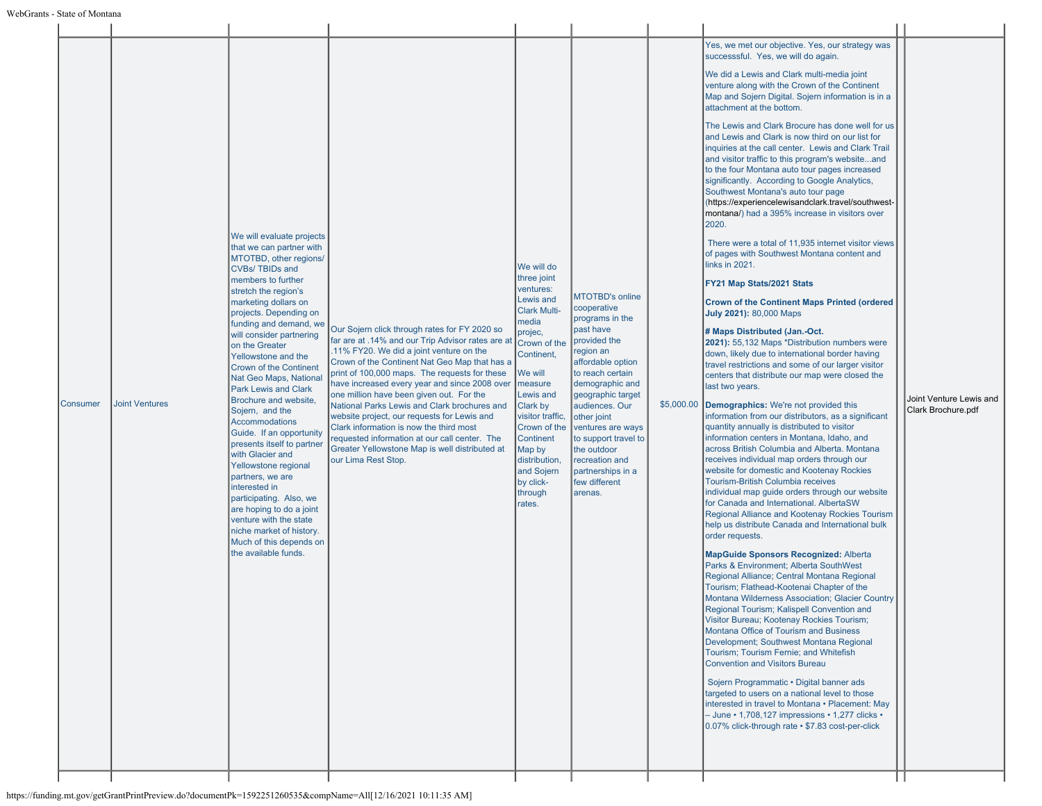| Consumer | <b>Joint Ventures</b> | We will evaluate projects<br>that we can partner with<br>MTOTBD, other regions/<br><b>CVBs/TBIDs and</b><br>members to further<br>stretch the region's<br>marketing dollars on<br>projects. Depending on<br>funding and demand, we<br>will consider partnering<br>on the Greater<br>Yellowstone and the<br>Crown of the Continent<br>Nat Geo Maps, National<br><b>Park Lewis and Clark</b><br>Brochure and website,<br>Sojern, and the<br>Accommodations<br>Guide. If an opportunity<br>presents itself to partner<br>with Glacier and<br>Yellowstone regional<br>partners, we are<br>interested in<br>participating. Also, we<br>are hoping to do a joint<br>venture with the state<br>niche market of history.<br>Much of this depends on<br>the available funds. | Our Sojern click through rates for FY 2020 so<br>far are at .14% and our Trip Advisor rates are at<br>.11% FY20. We did a joint venture on the<br>Crown of the Continent Nat Geo Map that has a<br>print of 100,000 maps. The requests for these<br>have increased every year and since 2008 over<br>one million have been given out. For the<br>National Parks Lewis and Clark brochures and<br>website project, our requests for Lewis and<br>Clark information is now the third most<br>requested information at our call center. The<br>Greater Yellowstone Map is well distributed at<br>our Lima Rest Stop. | We will do<br>three joint<br>ventures:<br>Lewis and<br><b>Clark Multi-</b><br>media<br>projec,<br>Crown of the<br>Continent,<br>We will<br>measure<br>Lewis and<br>Clark by<br>visitor traffic,<br>Crown of the<br>Continent<br>Map by<br>distribution,<br>and Sojern<br>by click-<br>through<br>rates. | <b>MTOTBD's online</b><br>cooperative<br>programs in the<br>past have<br>provided the<br>region an<br>affordable option<br>to reach certain<br>demographic and<br>geographic target<br>audiences. Our<br>other joint<br>ventures are ways<br>to support travel to<br>the outdoor<br>recreation and<br>partnerships in a<br>few different<br>arenas. | \$5,000.00 | Yes, we met our objective. Yes, our strategy was<br>successsful. Yes, we will do again.<br>We did a Lewis and Clark multi-media joint<br>venture along with the Crown of the Continent<br>Map and Sojern Digital. Sojern information is in a<br>attachment at the bottom.<br>The Lewis and Clark Brocure has done well for us<br>and Lewis and Clark is now third on our list for<br>inquiries at the call center. Lewis and Clark Trail<br>and visitor traffic to this program's websiteand<br>to the four Montana auto tour pages increased<br>significantly. According to Google Analytics,<br>Southwest Montana's auto tour page<br>(https://experiencelewisandclark.travel/southwest-<br>montana/) had a 395% increase in visitors over<br>2020.<br>There were a total of 11,935 internet visitor views<br>of pages with Southwest Montana content and<br>links in 2021.<br>FY21 Map Stats/2021 Stats<br><b>Crown of the Continent Maps Printed (ordered</b><br>July 2021): 80,000 Maps<br># Maps Distributed (Jan.-Oct.<br>2021): 55,132 Maps *Distribution numbers were<br>down, likely due to international border having<br>travel restrictions and some of our larger visitor<br>centers that distribute our map were closed the<br>last two years.<br>Demographics: We're not provided this<br>information from our distributors, as a significant<br>quantity annually is distributed to visitor<br>information centers in Montana, Idaho, and<br>across British Columbia and Alberta. Montana<br>receives individual map orders through our<br>website for domestic and Kootenay Rockies<br><b>Tourism-British Columbia receives</b><br>individual map guide orders through our website<br>for Canada and International. AlbertaSW<br>Regional Alliance and Kootenay Rockies Tourism<br>help us distribute Canada and International bulk<br>order requests.<br><b>MapGuide Sponsors Recognized: Alberta</b><br>Parks & Environment; Alberta SouthWest<br>Regional Alliance; Central Montana Regional<br>Tourism; Flathead-Kootenai Chapter of the<br>Montana Wilderness Association; Glacier Country<br>Regional Tourism; Kalispell Convention and<br>Visitor Bureau; Kootenay Rockies Tourism;<br>Montana Office of Tourism and Business<br>Development; Southwest Montana Regional<br>Tourism; Tourism Fernie; and Whitefish<br><b>Convention and Visitors Bureau</b><br>Sojern Programmatic . Digital banner ads<br>targeted to users on a national level to those<br>interested in travel to Montana . Placement: May<br>- June · 1,708,127 impressions · 1,277 clicks ·<br>0.07% click-through rate • \$7.83 cost-per-click | Joint Venture Lewis and<br>Clark Brochure.pdf |
|----------|-----------------------|---------------------------------------------------------------------------------------------------------------------------------------------------------------------------------------------------------------------------------------------------------------------------------------------------------------------------------------------------------------------------------------------------------------------------------------------------------------------------------------------------------------------------------------------------------------------------------------------------------------------------------------------------------------------------------------------------------------------------------------------------------------------|-------------------------------------------------------------------------------------------------------------------------------------------------------------------------------------------------------------------------------------------------------------------------------------------------------------------------------------------------------------------------------------------------------------------------------------------------------------------------------------------------------------------------------------------------------------------------------------------------------------------|---------------------------------------------------------------------------------------------------------------------------------------------------------------------------------------------------------------------------------------------------------------------------------------------------------|-----------------------------------------------------------------------------------------------------------------------------------------------------------------------------------------------------------------------------------------------------------------------------------------------------------------------------------------------------|------------|-----------------------------------------------------------------------------------------------------------------------------------------------------------------------------------------------------------------------------------------------------------------------------------------------------------------------------------------------------------------------------------------------------------------------------------------------------------------------------------------------------------------------------------------------------------------------------------------------------------------------------------------------------------------------------------------------------------------------------------------------------------------------------------------------------------------------------------------------------------------------------------------------------------------------------------------------------------------------------------------------------------------------------------------------------------------------------------------------------------------------------------------------------------------------------------------------------------------------------------------------------------------------------------------------------------------------------------------------------------------------------------------------------------------------------------------------------------------------------------------------------------------------------------------------------------------------------------------------------------------------------------------------------------------------------------------------------------------------------------------------------------------------------------------------------------------------------------------------------------------------------------------------------------------------------------------------------------------------------------------------------------------------------------------------------------------------------------------------------------------------------------------------------------------------------------------------------------------------------------------------------------------------------------------------------------------------------------------------------------------------------------------------------------------------------------------------------------------------------------------------------------------------------------------------------------------------------------------------------------------------------------------------|-----------------------------------------------|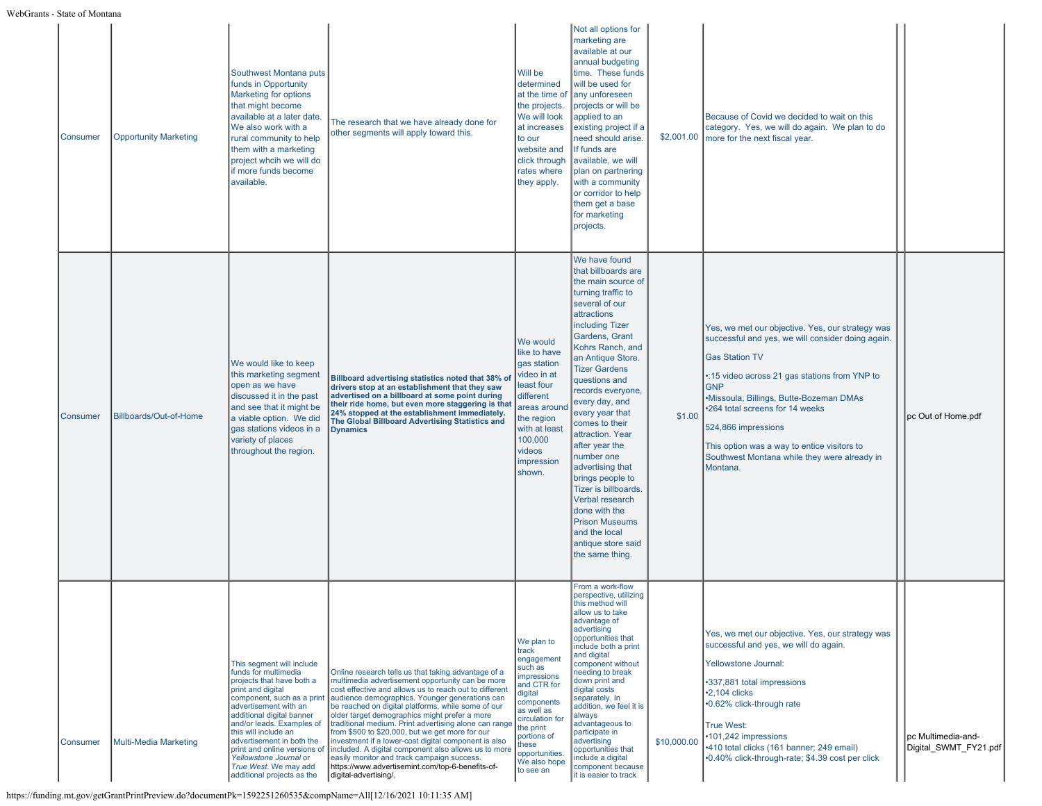| <b>Consumer</b> | <b>Opportunity Marketing</b> | Southwest Montana puts<br>funds in Opportunity<br>Marketing for options<br>that might become<br>available at a later date.<br>We also work with a<br>rural community to help<br>them with a marketing<br>project whcih we will do<br>if more funds become<br>available.                                                                                                                    | The research that we have already done for<br>other segments will apply toward this.                                                                                                                                                                                                                                                                                                                                                                                                                                                                                                                                                                                              | Will be<br>determined<br>at the time of<br>the projects.<br>We will look<br>at increases<br>to our<br>website and<br>click through<br>rates where<br>they apply.                                                               | Not all options for<br>marketing are<br>available at our<br>annual budgeting<br>time. These funds<br>will be used for<br>any unforeseen<br>projects or will be<br>applied to an<br>existing project if a<br>need should arise.<br>If funds are<br>available, we will<br>plan on partnering<br>with a community<br>or corridor to help<br>them get a base<br>for marketing<br>projects.                                                                                                                                                                          | \$2,001.00  | Because of Covid we decided to wait on this<br>category. Yes, we will do again. We plan to do<br>more for the next fiscal year.                                                                                                                                                                                                                                                                               |                                             |
|-----------------|------------------------------|--------------------------------------------------------------------------------------------------------------------------------------------------------------------------------------------------------------------------------------------------------------------------------------------------------------------------------------------------------------------------------------------|-----------------------------------------------------------------------------------------------------------------------------------------------------------------------------------------------------------------------------------------------------------------------------------------------------------------------------------------------------------------------------------------------------------------------------------------------------------------------------------------------------------------------------------------------------------------------------------------------------------------------------------------------------------------------------------|--------------------------------------------------------------------------------------------------------------------------------------------------------------------------------------------------------------------------------|-----------------------------------------------------------------------------------------------------------------------------------------------------------------------------------------------------------------------------------------------------------------------------------------------------------------------------------------------------------------------------------------------------------------------------------------------------------------------------------------------------------------------------------------------------------------|-------------|---------------------------------------------------------------------------------------------------------------------------------------------------------------------------------------------------------------------------------------------------------------------------------------------------------------------------------------------------------------------------------------------------------------|---------------------------------------------|
| Consumer        | Billboards/Out-of-Home       | We would like to keep<br>this marketing segment<br>open as we have<br>discussed it in the past<br>and see that it might be<br>a viable option. We did<br>gas stations videos in a<br>variety of places<br>throughout the region.                                                                                                                                                           | Billboard advertising statistics noted that 38% of<br>drivers stop at an establishment that they saw<br>advertised on a billboard at some point during<br>their ride home, but even more staggering is that<br>24% stopped at the establishment immediately.<br>The Global Billboard Advertising Statistics and<br><b>Dynamics</b>                                                                                                                                                                                                                                                                                                                                                | We would<br>like to have<br>gas station<br>video in at<br>least four<br>different<br>areas around<br>the region<br>with at least<br>100,000<br>videos<br><b>impression</b><br>shown.                                           | We have found<br>that billboards are<br>the main source of<br>turning traffic to<br>several of our<br>attractions<br>including Tizer<br>Gardens, Grant<br>Kohrs Ranch, and<br>an Antique Store.<br><b>Tizer Gardens</b><br>questions and<br>records everyone,<br>every day, and<br>every year that<br>comes to their<br>attraction. Year<br>after year the<br>number one<br>advertising that<br>brings people to<br>Tizer is billboards.<br>Verbal research<br>done with the<br><b>Prison Museums</b><br>and the local<br>antique store said<br>the same thing. | \$1.00      | Yes, we met our objective. Yes, our strategy was<br>successful and yes, we will consider doing again.<br><b>Gas Station TV</b><br>•:15 video across 21 gas stations from YNP to<br><b>GNP</b><br>•Missoula, Billings, Butte-Bozeman DMAs<br>*264 total screens for 14 weeks<br>524,866 impressions<br>This option was a way to entice visitors to<br>Southwest Montana while they were already in<br>Montana. | pc Out of Home.pdf                          |
| <b>Consumer</b> | Multi-Media Marketing        | This seament will include<br>funds for multimedia<br>projects that have both a<br>print and digital<br>component, such as a print<br>advertisement with an<br>additional digital banner<br>and/or leads. Examples of<br>this will include an<br>advertisement in both the<br>print and online versions of<br>Yellowstone Journal or<br>True West. We may add<br>additional projects as the | Online research tells us that taking advantage of a<br>multimedia advertisement opportunity can be more<br>cost effective and allows us to reach out to different<br>audience demographics. Younger generations can<br>be reached on digital platforms. while some of our<br>older target demographics might prefer a more<br>traditional medium. Print advertising alone can range<br>from \$500 to \$20,000, but we get more for our<br>investment if a lower-cost digital component is also<br>included. A digital component also allows us to more<br>easily monitor and track campaign success.<br>https://www.advertisemint.com/top-6-benefits-of-<br>digital-advertising/, | We plan to<br>track<br>engagement<br>such as<br><b>impressions</b><br>and CTR for<br>digital<br>components<br>as well as<br>circulation for<br>the print<br>portions of<br>hese<br>opportunities.<br>We also hope<br>to see an | From a work-flow<br>perspective, utilizing<br>this method will<br>allow us to take<br>advantage of<br>advertising<br>opportunities that<br>include both a print<br>and digital<br>component without<br>needing to break<br>down print and<br>digital costs<br>separately. In<br>addition, we feel it is<br>always<br>advantageous to<br>participate in<br>advertising<br>opportunities that<br>include a digital<br>component because<br>it is easier to track                                                                                                  | \$10,000.00 | Yes, we met our objective. Yes, our strategy was<br>successful and yes, we will do again.<br>Yellowstone Journal:<br>•337,881 total impressions<br>$\cdot$ 2,104 clicks<br>•0.62% click-through rate<br><b>True West:</b><br>101,242 impressions<br>•410 total clicks (161 banner; 249 email)<br>•0.40% click-through-rate; \$4.39 cost per click                                                             | pc Multimedia-and-<br>Digital SWMT FY21.pdf |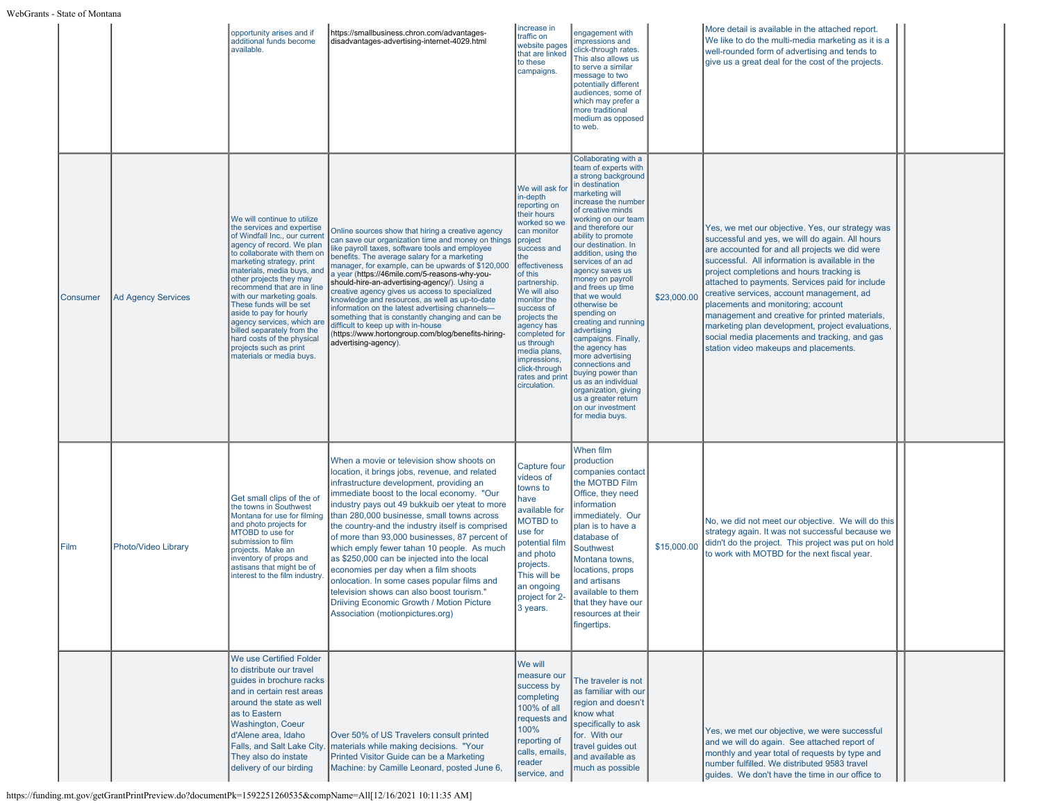|          |                           | opportunity arises and if<br>additional funds become<br>available.                                                                                                                                                                                                                                                                                                                                                                                                                                            | https://smallbusiness.chron.com/advantages-<br>disadvantages-advertising-internet-4029.html                                                                                                                                                                                                                                                                                                                                                                                                                                                                                                                                                                                                                  | increase in<br>traffic on<br>website pages<br>that are linked<br>to these<br>campaigns.                                                                                                                                                                                                                                                                              | engagement with<br>impressions and<br>click-through rates.<br>This also allows us<br>to serve a similar<br>message to two<br>potentially different<br>audiences, some of<br>which may prefer a<br>more traditional<br>medium as opposed<br>to web.                                                                                                                                                                                                                                                                                                                                                                                                             |             | More detail is available in the attached report.<br>We like to do the multi-media marketing as it is a<br>well-rounded form of advertising and tends to<br>give us a great deal for the cost of the projects.                                                                                                                                                                                                                                                                                                                                                                               |  |
|----------|---------------------------|---------------------------------------------------------------------------------------------------------------------------------------------------------------------------------------------------------------------------------------------------------------------------------------------------------------------------------------------------------------------------------------------------------------------------------------------------------------------------------------------------------------|--------------------------------------------------------------------------------------------------------------------------------------------------------------------------------------------------------------------------------------------------------------------------------------------------------------------------------------------------------------------------------------------------------------------------------------------------------------------------------------------------------------------------------------------------------------------------------------------------------------------------------------------------------------------------------------------------------------|----------------------------------------------------------------------------------------------------------------------------------------------------------------------------------------------------------------------------------------------------------------------------------------------------------------------------------------------------------------------|----------------------------------------------------------------------------------------------------------------------------------------------------------------------------------------------------------------------------------------------------------------------------------------------------------------------------------------------------------------------------------------------------------------------------------------------------------------------------------------------------------------------------------------------------------------------------------------------------------------------------------------------------------------|-------------|---------------------------------------------------------------------------------------------------------------------------------------------------------------------------------------------------------------------------------------------------------------------------------------------------------------------------------------------------------------------------------------------------------------------------------------------------------------------------------------------------------------------------------------------------------------------------------------------|--|
| Consumer | <b>Ad Agency Services</b> | We will continue to utilize<br>the services and expertise<br>of Windfall Inc., our current<br>agency of record. We plan<br>to collaborate with them on<br>marketing strategy, print<br>materials, media buys, and<br>other projects they may<br>recommend that are in line<br>with our marketing goals.<br>These funds will be set<br>aside to pay for hourly<br>agency services, which are<br>billed separately from the<br>hard costs of the physical<br>projects such as print<br>materials or media buys. | Online sources show that hiring a creative agency<br>can save our organization time and money on things<br>like payroll taxes, software tools and employee<br>benefits. The average salary for a marketing<br>manager, for example, can be upwards of \$120,000<br>a year (https://46mile.com/5-reasons-why-you-<br>should-hire-an-advertising-agency/). Using a<br>creative agency gives us access to specialized<br>knowledge and resources, as well as up-to-date<br>information on the latest advertising channels-<br>something that is constantly changing and can be<br>difficult to keep up with in-house<br>(https://www.hortongroup.com/blog/benefits-hiring-<br>advertising-agency).              | We will ask for<br>in-depth<br>reporting on<br>their hours<br>worked so we<br>can monitor<br>project<br>success and<br>the<br>effectiveness<br>of this<br>partnership.<br>We will also<br>monitor the<br>success of<br>projects the<br>agency has<br>completed for<br>us through<br>media plans,<br>impressions,<br>click-through<br>rates and print<br>circulation. | Collaborating with a<br>team of experts with<br>a strong background<br>in destination<br>marketing will<br>increase the number<br>of creative minds<br>working on our team<br>and therefore our<br>ability to promote<br>our destination. In<br>addition, using the<br>services of an ad<br>agency saves us<br>money on payroll<br>and frees up time<br>that we would<br>otherwise be<br>spending on<br>creating and running<br>advertising<br>campaigns. Finally,<br>the agency has<br>more advertising<br>connections and<br>buying power than<br>us as an individual<br>organization, giving<br>us a greater return<br>on our investment<br>for media buys. | \$23,000.00 | Yes, we met our objective. Yes, our strategy was<br>successful and yes, we will do again. All hours<br>are accounted for and all projects we did were<br>successful. All information is available in the<br>project completions and hours tracking is<br>attached to payments. Services paid for include<br>creative services, account management, ad<br>placements and monitoring; account<br>management and creative for printed materials,<br>marketing plan development, project evaluations,<br>social media placements and tracking, and gas<br>station video makeups and placements. |  |
| l Film   | Photo/Video Library       | Get small clips of the of<br>the towns in Southwest<br>Montana for use for filming<br>and photo projects for<br>MTOBD to use for<br>submission to film<br>projects. Make an<br>inventory of props and<br>astisans that might be of<br>interest to the film industry.                                                                                                                                                                                                                                          | When a movie or television show shoots on<br>location, it brings jobs, revenue, and related<br>infrastructure development, providing an<br>immediate boost to the local economy. "Our<br>industry pays out 49 bukkuib oer yteat to more<br>than 280,000 businesse, small towns across<br>the country-and the industry itself is comprised<br>of more than 93,000 businesses, 87 percent of<br>which emply fewer tahan 10 people. As much<br>as \$250,000 can be injected into the local<br>economies per day when a film shoots<br>onlocation. In some cases popular films and<br>television shows can also boost tourism."<br>Driiving Economic Growth / Motion Picture<br>Association (motionpictures.org) | Capture four<br>videos of<br>towns to<br>have<br>available for<br><b>MOTBD</b> to<br>use for<br>potential film<br>and photo<br>projects.<br>This will be<br>an ongoing<br>project for 2-<br>3 years.                                                                                                                                                                 | When film<br>production<br>companies contact<br>the MOTBD Film<br>Office, they need<br>information<br>immediately. Our<br>plan is to have a<br>database of<br>Southwest<br>Montana towns,<br>locations, props<br>and artisans<br>available to them<br>that they have our<br>resources at their<br>fingertips.                                                                                                                                                                                                                                                                                                                                                  | \$15,000.00 | No, we did not meet our objective. We will do this<br>strategy again. It was not successful because we<br>didn't do the project. This project was put on hold<br>to work with MOTBD for the next fiscal year.                                                                                                                                                                                                                                                                                                                                                                               |  |
|          |                           | We use Certified Folder<br>to distribute our travel<br>quides in brochure racks<br>and in certain rest areas<br>around the state as well<br>as to Eastern<br>Washington, Coeur<br>d'Alene area, Idaho<br>They also do instate<br>delivery of our birding                                                                                                                                                                                                                                                      | Over 50% of US Travelers consult printed<br>Falls, and Salt Lake City.   materials while making decisions. "Your<br>Printed Visitor Guide can be a Marketing<br>Machine: by Camille Leonard, posted June 6,                                                                                                                                                                                                                                                                                                                                                                                                                                                                                                  | We will<br>measure our<br>success by<br>completing<br>100% of all<br>requests and<br>100%<br>reporting of<br>calls, emails,<br>reader<br>service, and                                                                                                                                                                                                                | The traveler is not<br>as familiar with our<br>region and doesn't<br>know what<br>specifically to ask<br>for. With our<br>travel guides out<br>and available as<br>much as possible                                                                                                                                                                                                                                                                                                                                                                                                                                                                            |             | Yes, we met our objective, we were successful<br>and we will do again. See attached report of<br>monthly and year total of requests by type and<br>number fulfilled. We distributed 9583 travel<br>guides. We don't have the time in our office to                                                                                                                                                                                                                                                                                                                                          |  |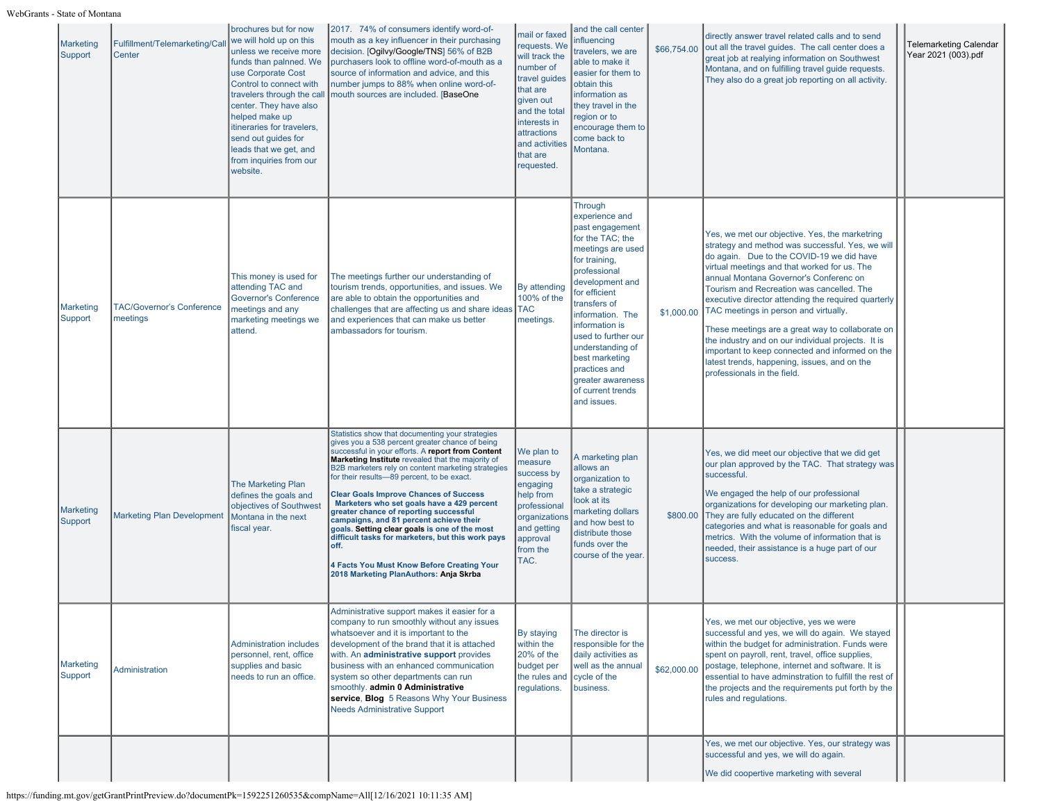| Marketing<br>Support | Fulfillment/Telemarketing/Ca<br>Center       | brochures but for now<br>we will hold up on this<br>unless we receive more<br>funds than palnned. We<br>use Corporate Cost<br>Control to connect with<br>travelers through the cal<br>center. They have also<br>helped make up<br>itineraries for travelers,<br>send out guides for<br>leads that we get, and<br>from inquiries from our<br>website. | 2017. 74% of consumers identify word-of-<br>mouth as a key influencer in their purchasing<br>decision. [Ogilvy/Google/TNS] 56% of B2B<br>purchasers look to offline word-of-mouth as a<br>source of information and advice, and this<br>number jumps to 88% when online word-of-<br>mouth sources are included. [BaseOne                                                                                                                                                                                                                                                                                                                                                                                    | mail or faxed<br>equests. We<br>will track the<br>number of<br>travel guides<br>that are<br>given out<br>and the total<br>interests in<br>attractions<br>and activities<br>that are<br>requested. | and the call center<br>influencing<br>travelers, we are<br>able to make it<br>easier for them to<br>obtain this<br>information as<br>they travel in the<br>region or to<br>encourage them to<br>come back to<br>Montana.                                                                                                                                | \$66,754.00 | directly answer travel related calls and to send<br>out all the travel guides. The call center does a<br>great job at realying information on Southwest<br>Montana, and on fulfilling travel guide requests.<br>They also do a great job reporting on all activity.                                                                                                                                                                                                                                                                                                                                                                | <b>Telemarketing Calendar</b><br>Year 2021 (003).pdf |
|----------------------|----------------------------------------------|------------------------------------------------------------------------------------------------------------------------------------------------------------------------------------------------------------------------------------------------------------------------------------------------------------------------------------------------------|-------------------------------------------------------------------------------------------------------------------------------------------------------------------------------------------------------------------------------------------------------------------------------------------------------------------------------------------------------------------------------------------------------------------------------------------------------------------------------------------------------------------------------------------------------------------------------------------------------------------------------------------------------------------------------------------------------------|---------------------------------------------------------------------------------------------------------------------------------------------------------------------------------------------------|---------------------------------------------------------------------------------------------------------------------------------------------------------------------------------------------------------------------------------------------------------------------------------------------------------------------------------------------------------|-------------|------------------------------------------------------------------------------------------------------------------------------------------------------------------------------------------------------------------------------------------------------------------------------------------------------------------------------------------------------------------------------------------------------------------------------------------------------------------------------------------------------------------------------------------------------------------------------------------------------------------------------------|------------------------------------------------------|
| Marketing<br>Support | <b>TAC/Governor's Conference</b><br>meetings | This money is used for<br>attending TAC and<br><b>Governor's Conference</b><br>meetings and any<br>marketing meetings we<br>attend.                                                                                                                                                                                                                  | The meetings further our understanding of<br>tourism trends, opportunities, and issues. We<br>are able to obtain the opportunities and<br>challenges that are affecting us and share ideas TAC<br>and experiences that can make us better<br>ambassadors for tourism.                                                                                                                                                                                                                                                                                                                                                                                                                                       | <b>By attending</b><br>100% of the<br>meetings.                                                                                                                                                   | Through<br>experience and<br>past engagement<br>for the TAC; the<br>meetings are used<br>for training,<br>professional<br>development and<br>for efficient<br>transfers of<br>information. The<br>information is<br>used to further our<br>understanding of<br>best marketing<br>practices and<br>greater awareness<br>of current trends<br>and issues. | \$1,000.00  | Yes, we met our objective. Yes, the marketring<br>strategy and method was successful. Yes, we will<br>do again. Due to the COVID-19 we did have<br>virtual meetings and that worked for us. The<br>annual Montana Governor's Conferenc on<br>Tourism and Recreation was cancelled. The<br>executive director attending the required quarterly<br>TAC meetings in person and virtually.<br>These meetings are a great way to collaborate on<br>the industry and on our individual projects. It is<br>important to keep connected and informed on the<br>latest trends, happening, issues, and on the<br>professionals in the field. |                                                      |
| Marketing<br>Support | <b>Marketing Plan Development</b>            | <b>The Marketing Plan</b><br>defines the goals and<br>objectives of Southwest<br>Montana in the next<br>fiscal year.                                                                                                                                                                                                                                 | Statistics show that documenting your strategies<br>gives you a 538 percent greater chance of being<br>successful in your efforts. A report from Content<br>Marketing Institute revealed that the majority of<br>B2B marketers rely on content marketing strategies<br>for their results-89 percent, to be exact.<br><b>Clear Goals Improve Chances of Success</b><br>Marketers who set goals have a 429 percent<br>greater chance of reporting successful<br>campaigns, and 81 percent achieve their<br>goals. Setting clear goals is one of the most<br>difficult tasks for marketers, but this work pays<br>off.<br>4 Facts You Must Know Before Creating Your<br>2018 Marketing PlanAuthors: Anja Skrba | We plan to<br>measure<br>success by<br>engaging<br>help from<br>professional<br>organization:<br>and getting<br>approval<br>from the<br>TAC.                                                      | A marketing plan<br>allows an<br>organization to<br>take a strategic<br>look at its<br>marketing dollars<br>and how best to<br>distribute those<br>funds over the<br>course of the year.                                                                                                                                                                | \$800.00    | Yes, we did meet our objective that we did get<br>our plan approved by the TAC. That strategy was<br>successful.<br>We engaged the help of our professional<br>organizations for developing our marketing plan.<br>They are fully educated on the different<br>categories and what is reasonable for goals and<br>metrics. With the volume of information that is<br>needed, their assistance is a huge part of our<br>success.                                                                                                                                                                                                    |                                                      |
| Marketing<br>Support | Administration                               | <b>Administration includes</b><br>personnel, rent, office<br>supplies and basic<br>needs to run an office.                                                                                                                                                                                                                                           | Administrative support makes it easier for a<br>company to run smoothly without any issues<br>whatsoever and it is important to the<br>development of the brand that it is attached<br>with. An administrative support provides<br>business with an enhanced communication<br>system so other departments can run<br>smoothly. admin 0 Administrative<br>service, Blog 5 Reasons Why Your Business<br><b>Needs Administrative Support</b>                                                                                                                                                                                                                                                                   | By staying<br>within the<br>20% of the<br>budget per<br>the rules and<br>regulations.                                                                                                             | The director is<br>responsible for the<br>daily activities as<br>well as the annual<br>cycle of the<br>business.                                                                                                                                                                                                                                        | \$62,000.00 | Yes, we met our objective, yes we were<br>successful and yes, we will do again. We stayed<br>within the budget for administration. Funds were<br>spent on payroll, rent, travel, office supplies,<br>postage, telephone, internet and software. It is<br>essential to have adminstration to fulfill the rest of<br>the projects and the requirements put forth by the<br>rules and regulations.                                                                                                                                                                                                                                    |                                                      |
|                      |                                              |                                                                                                                                                                                                                                                                                                                                                      |                                                                                                                                                                                                                                                                                                                                                                                                                                                                                                                                                                                                                                                                                                             |                                                                                                                                                                                                   |                                                                                                                                                                                                                                                                                                                                                         |             | Yes, we met our objective. Yes, our strategy was<br>successful and yes, we will do again.<br>We did coopertive marketing with several                                                                                                                                                                                                                                                                                                                                                                                                                                                                                              |                                                      |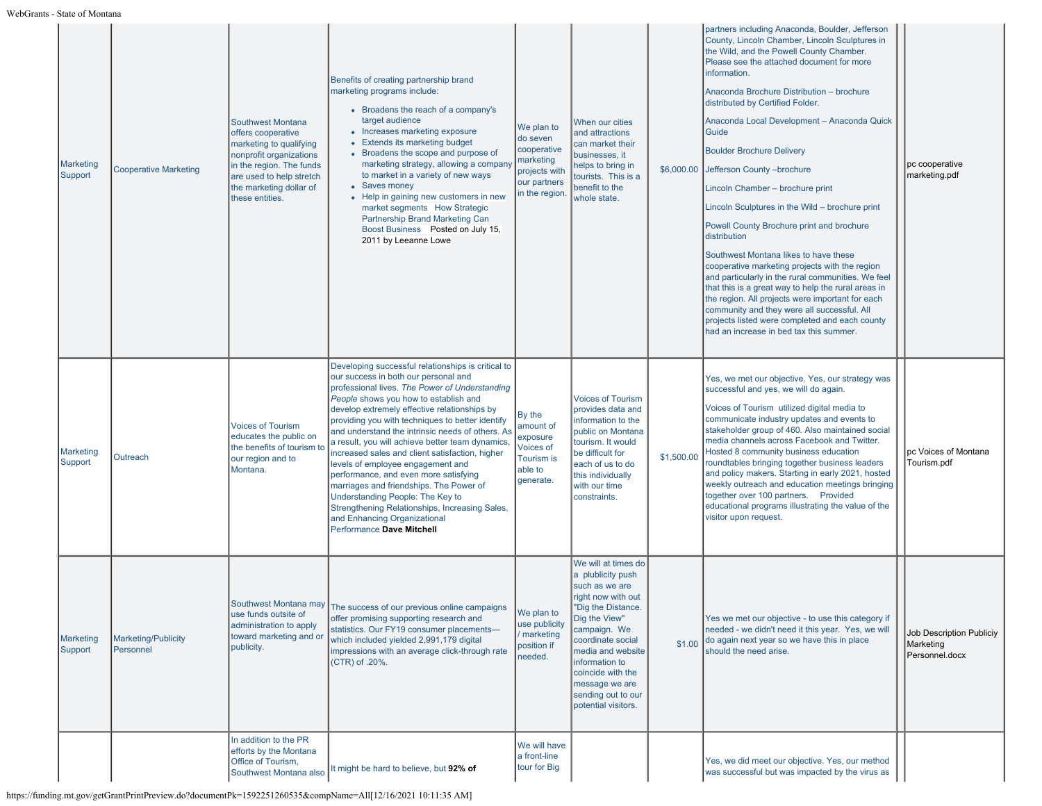| Marketing<br>Support | <b>Cooperative Marketing</b>            | Southwest Montana<br>offers cooperative<br>marketing to qualifying<br>nonprofit organizations<br>in the region. The funds<br>are used to help stretch<br>the marketing dollar of<br>these entities. | Benefits of creating partnership brand<br>marketing programs include:<br>• Broadens the reach of a company's<br>target audience<br>• Increases marketing exposure<br>• Extends its marketing budget<br>• Broadens the scope and purpose of<br>marketing strategy, allowing a company<br>to market in a variety of new ways<br>• Saves money<br>• Help in gaining new customers in new<br>market segments How Strategic<br>Partnership Brand Marketing Can<br>Boost Business Posted on July 15,<br>2011 by Leeanne Lowe                                                                                                                                                                                                           | We plan to<br>do seven<br>cooperative<br>narketing<br>projects with<br>our partners<br>in the region. | When our cities<br>and attractions<br>can market their<br>businesses, it<br>helps to bring in<br>tourists. This is a<br>benefit to the<br>whole state.                                                                                                                                  | \$6,000.00 | partners including Anaconda, Boulder, Jefferson<br>County, Lincoln Chamber, Lincoln Sculptures in<br>the Wild, and the Powell County Chamber.<br>Please see the attached document for more<br>information.<br>Anaconda Brochure Distribution - brochure<br>distributed by Certified Folder.<br>Anaconda Local Development - Anaconda Quick<br>Guide<br><b>Boulder Brochure Delivery</b><br>Jefferson County - brochure<br>Lincoln Chamber - brochure print<br>Lincoln Sculptures in the Wild - brochure print<br>Powell County Brochure print and brochure<br>distribution<br>Southwest Montana likes to have these<br>cooperative marketing projects with the region<br>and particularly in the rural communities. We feel<br>that this is a great way to help the rural areas in<br>the region. All projects were important for each<br>community and they were all successful. All<br>projects listed were completed and each county<br>had an increase in bed tax this summer. | pc cooperative<br>marketing.pdf                         |
|----------------------|-----------------------------------------|-----------------------------------------------------------------------------------------------------------------------------------------------------------------------------------------------------|----------------------------------------------------------------------------------------------------------------------------------------------------------------------------------------------------------------------------------------------------------------------------------------------------------------------------------------------------------------------------------------------------------------------------------------------------------------------------------------------------------------------------------------------------------------------------------------------------------------------------------------------------------------------------------------------------------------------------------|-------------------------------------------------------------------------------------------------------|-----------------------------------------------------------------------------------------------------------------------------------------------------------------------------------------------------------------------------------------------------------------------------------------|------------|------------------------------------------------------------------------------------------------------------------------------------------------------------------------------------------------------------------------------------------------------------------------------------------------------------------------------------------------------------------------------------------------------------------------------------------------------------------------------------------------------------------------------------------------------------------------------------------------------------------------------------------------------------------------------------------------------------------------------------------------------------------------------------------------------------------------------------------------------------------------------------------------------------------------------------------------------------------------------------|---------------------------------------------------------|
| Marketing<br>Support | Outreach                                | <b>Voices of Tourism</b><br>educates the public on<br>the benefits of tourism to<br>our region and to<br>Montana.                                                                                   | Developing successful relationships is critical to<br>our success in both our personal and<br>professional lives. The Power of Understanding<br>People shows you how to establish and<br>develop extremely effective relationships by<br>providing you with techniques to better identify<br>and understand the intrinsic needs of others. As<br>a result, you will achieve better team dynamics,<br>increased sales and client satisfaction, higher<br>levels of employee engagement and<br>performance, and even more satisfying<br>marriages and friendships. The Power of<br>Understanding People: The Key to<br>Strengthening Relationships, Increasing Sales,<br>and Enhancing Organizational<br>Performance Dave Mitchell | By the<br>amount of<br>exposure<br>Voices of<br>Tourism is<br>able to<br>generate.                    | <b>Voices of Tourism</b><br>provides data and<br>information to the<br>public on Montana<br>tourism. It would<br>be difficult for<br>each of us to do<br>this individually<br>with our time<br>constraints.                                                                             | \$1,500.00 | Yes, we met our objective. Yes, our strategy was<br>successful and yes, we will do again.<br>Voices of Tourism utilized digital media to<br>communicate industry updates and events to<br>stakeholder group of 460. Also maintained social<br>media channels across Facebook and Twitter.<br>Hosted 8 community business education<br>roundtables bringing together business leaders<br>and policy makers. Starting in early 2021, hosted<br>weekly outreach and education meetings bringing<br>together over 100 partners. Provided<br>educational programs illustrating the value of the<br>visitor upon request.                                                                                                                                                                                                                                                                                                                                                                | pc Voices of Montana<br>Tourism.pdf                     |
| Marketing<br>Support | <b>Marketing/Publicity</b><br>Personnel | use funds outsite of<br>administration to apply<br>toward marketing and or<br>publicity.                                                                                                            | Southwest Montana may The success of our previous online campaigns<br>offer promising supporting research and<br>statistics. Our FY19 consumer placements-<br>which included yielded 2,991,179 digital<br>impressions with an average click-through rate<br>(CTR) of .20%.                                                                                                                                                                                                                                                                                                                                                                                                                                                       | We plan to<br>use publicity<br>marketing<br>position if<br>needed.                                    | We will at times do<br>a plublicity push<br>such as we are<br>right now with out<br>"Dig the Distance.<br>Dig the View"<br>campaign. We<br>coordinate social<br>media and website<br>information to<br>coincide with the<br>message we are<br>sending out to our<br>potential visitors. |            | Yes we met our objective - to use this category if<br>needed - we didn't need it this year. Yes, we will<br>\$1.00 do again next year so we have this in place<br>should the need arise.                                                                                                                                                                                                                                                                                                                                                                                                                                                                                                                                                                                                                                                                                                                                                                                           | Job Description Publiciy<br>Marketing<br>Personnel.docx |
|                      |                                         | In addition to the PR<br>efforts by the Montana<br>Office of Tourism,<br>Southwest Montana also                                                                                                     | It might be hard to believe, but 92% of                                                                                                                                                                                                                                                                                                                                                                                                                                                                                                                                                                                                                                                                                          | We will have<br>a front-line<br>tour for Big                                                          |                                                                                                                                                                                                                                                                                         |            | Yes, we did meet our objective. Yes, our method<br>was successful but was impacted by the virus as                                                                                                                                                                                                                                                                                                                                                                                                                                                                                                                                                                                                                                                                                                                                                                                                                                                                                 |                                                         |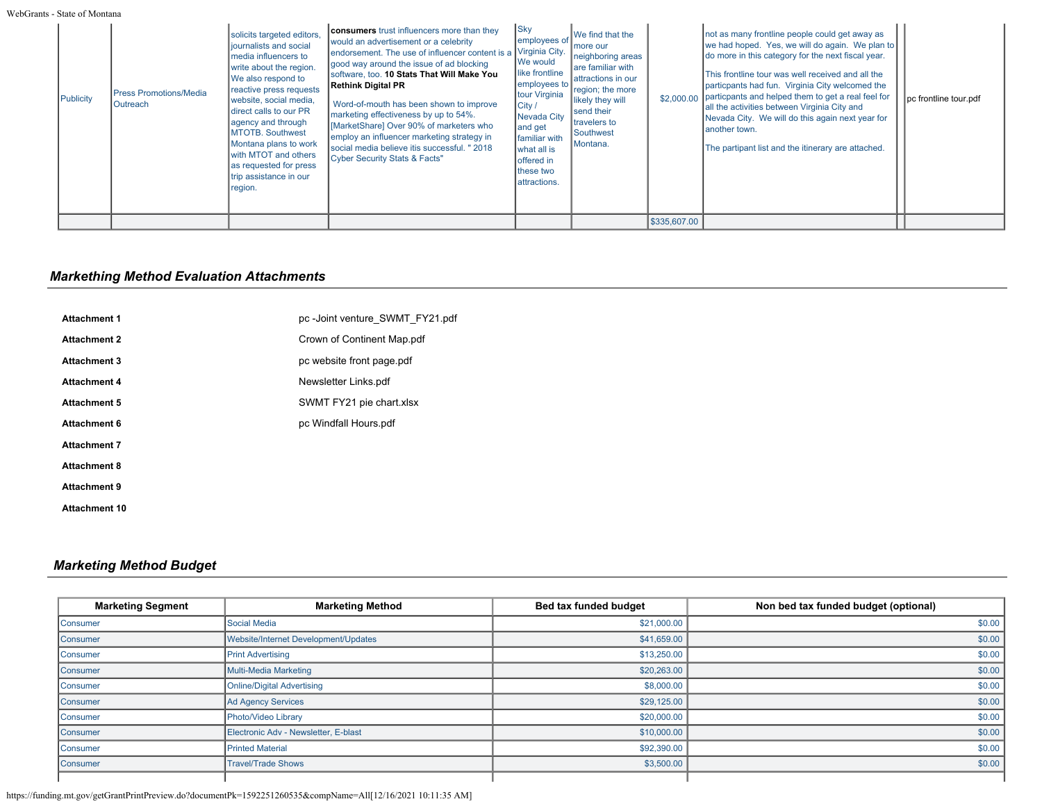| Publicity | <b>Press Promotions/Media</b><br>Outreach | solicits targeted editors,<br>journalists and social<br>media influencers to<br>write about the region.<br>We also respond to<br>reactive press requests<br>website, social media,<br>direct calls to our PR<br>agency and through<br><b>MTOTB, Southwest</b><br>Montana plans to work<br>with MTOT and others<br>as requested for press<br>trip assistance in our<br>region. | <b>consumers</b> trust influencers more than they<br>would an advertisement or a celebrity<br>endorsement. The use of influencer content is a<br>good way around the issue of ad blocking<br>Isoftware. too. <b>10 Stats That Will Make You</b><br>Rethink Digital PR<br>Word-of-mouth has been shown to improve<br>marketing effectiveness by up to 54%.<br>MarketShare] Over 90% of marketers who<br>employ an influencer marketing strategy in<br>social media believe itis successful. " 2018<br>Cyber Security Stats & Facts" | $ $ Sky<br>employees o<br>Virginia City.<br>We would<br>like frontline<br>employees to<br>tour Virginia<br>City /<br>Nevada City<br>and get<br>familiar with<br>what all is<br>offered in<br>Ithese two<br>attractions. | We find that the<br>more our<br>neighboring areas<br>Iare familiar with<br>attractions in our<br>region; the more<br>likely they will<br>send their<br>travelers to<br>Southwest<br>Montana. |              | not as many frontline people could get away as<br>we had hoped. Yes, we will do again. We plan to<br>do more in this category for the next fiscal year.<br>This frontline tour was well received and all the<br>particpants had fun. Virginia City welcomed the<br>\$2,000.00 particpants and helped them to get a real feel for<br>all the activities between Virginia City and<br>Nevada City. We will do this again next year for<br>lanother town.<br>The partipant list and the itinerary are attached. | pc frontline tour.pdf |
|-----------|-------------------------------------------|-------------------------------------------------------------------------------------------------------------------------------------------------------------------------------------------------------------------------------------------------------------------------------------------------------------------------------------------------------------------------------|------------------------------------------------------------------------------------------------------------------------------------------------------------------------------------------------------------------------------------------------------------------------------------------------------------------------------------------------------------------------------------------------------------------------------------------------------------------------------------------------------------------------------------|-------------------------------------------------------------------------------------------------------------------------------------------------------------------------------------------------------------------------|----------------------------------------------------------------------------------------------------------------------------------------------------------------------------------------------|--------------|--------------------------------------------------------------------------------------------------------------------------------------------------------------------------------------------------------------------------------------------------------------------------------------------------------------------------------------------------------------------------------------------------------------------------------------------------------------------------------------------------------------|-----------------------|
|           |                                           |                                                                                                                                                                                                                                                                                                                                                                               |                                                                                                                                                                                                                                                                                                                                                                                                                                                                                                                                    |                                                                                                                                                                                                                         |                                                                                                                                                                                              | \$335,607.00 |                                                                                                                                                                                                                                                                                                                                                                                                                                                                                                              |                       |

# *Markething Method Evaluation Attachments*

| <b>Attachment 1</b>  | pc-Joint venture SWMT FY21.pdf |
|----------------------|--------------------------------|
| <b>Attachment 2</b>  | Crown of Continent Map.pdf     |
| <b>Attachment 3</b>  | pc website front page.pdf      |
| <b>Attachment 4</b>  | Newsletter Links.pdf           |
| <b>Attachment 5</b>  | SWMT FY21 pie chart.xlsx       |
| <b>Attachment 6</b>  | pc Windfall Hours.pdf          |
| <b>Attachment 7</b>  |                                |
| <b>Attachment 8</b>  |                                |
| <b>Attachment 9</b>  |                                |
| <b>Attachment 10</b> |                                |

## *Marketing Method Budget*

| <b>Marketing Segment</b> | <b>Marketing Method</b>              | Bed tax funded budget | Non bed tax funded budget (optional) |
|--------------------------|--------------------------------------|-----------------------|--------------------------------------|
| Consumer                 | Social Media                         | \$21,000.00           | \$0.00                               |
| Consumer                 | Website/Internet Development/Updates | \$41,659.00           | \$0.00                               |
| Consumer                 | <b>Print Advertising</b>             | \$13,250.00           | \$0.00                               |
| Consumer                 | Multi-Media Marketing                | \$20,263.00           | \$0.00                               |
| Consumer                 | Online/Digital Advertising           | \$8,000.00            | \$0.00                               |
| Consumer                 | Ad Agency Services                   | \$29,125.00           | \$0.00                               |
| Consumer                 | Photo/Video Library                  | \$20,000.00           | \$0.00                               |
| Consumer                 | Electronic Adv - Newsletter, E-blast | \$10,000.00           | \$0.00                               |
| Consumer                 | <b>Printed Material</b>              | \$92,390.00           | \$0.00                               |
| Consumer                 | <b>Travel/Trade Shows</b>            | \$3,500.00            | \$0.00                               |
|                          |                                      |                       |                                      |